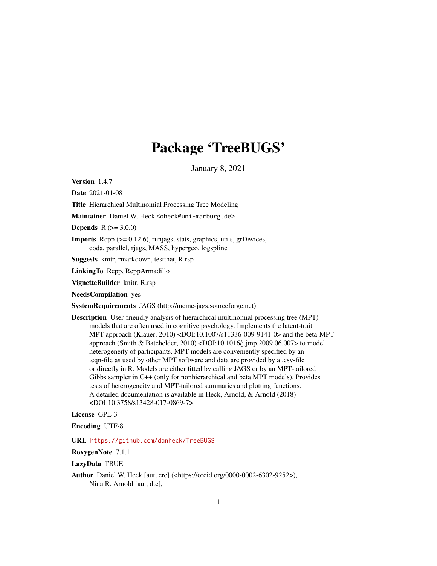# Package 'TreeBUGS'

January 8, 2021

<span id="page-0-0"></span>Version 1.4.7

Date 2021-01-08

Title Hierarchical Multinomial Processing Tree Modeling

Maintainer Daniel W. Heck <dheck@uni-marburg.de>

**Depends**  $R (= 3.0.0)$ 

Imports Rcpp (>= 0.12.6), runjags, stats, graphics, utils, grDevices, coda, parallel, rjags, MASS, hypergeo, logspline

Suggests knitr, rmarkdown, testthat, R.rsp

LinkingTo Rcpp, RcppArmadillo

VignetteBuilder knitr, R.rsp

NeedsCompilation yes

SystemRequirements JAGS (http://mcmc-jags.sourceforge.net)

Description User-friendly analysis of hierarchical multinomial processing tree (MPT) models that are often used in cognitive psychology. Implements the latent-trait MPT approach (Klauer, 2010) <DOI:10.1007/s11336-009-9141-0> and the beta-MPT approach (Smith & Batchelder, 2010) <DOI:10.1016/j.jmp.2009.06.007> to model heterogeneity of participants. MPT models are conveniently specified by an .eqn-file as used by other MPT software and data are provided by a .csv-file or directly in R. Models are either fitted by calling JAGS or by an MPT-tailored Gibbs sampler in C++ (only for nonhierarchical and beta MPT models). Provides tests of heterogeneity and MPT-tailored summaries and plotting functions. A detailed documentation is available in Heck, Arnold, & Arnold (2018) <DOI:10.3758/s13428-017-0869-7>.

License GPL-3

Encoding UTF-8

URL <https://github.com/danheck/TreeBUGS>

RoxygenNote 7.1.1

LazyData TRUE

Author Daniel W. Heck [aut, cre] (<https://orcid.org/0000-0002-6302-9252>), Nina R. Arnold [aut, dtc],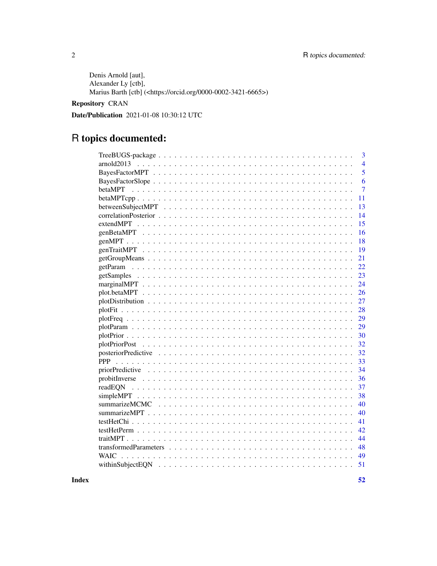Denis Arnold [aut], Alexander Ly [ctb], Marius Barth [ctb] (<https://orcid.org/0000-0002-3421-6665>)

#### Repository CRAN

Date/Publication 2021-01-08 10:30:12 UTC

## R topics documented:

| $\overline{3}$                                                                                                     |
|--------------------------------------------------------------------------------------------------------------------|
|                                                                                                                    |
| $\overline{4}$                                                                                                     |
| $\overline{5}$                                                                                                     |
| 6                                                                                                                  |
| 7                                                                                                                  |
| 11                                                                                                                 |
| 13                                                                                                                 |
| 14                                                                                                                 |
| 15                                                                                                                 |
| 16                                                                                                                 |
| 18                                                                                                                 |
| 19                                                                                                                 |
| 21                                                                                                                 |
| 22                                                                                                                 |
| 23                                                                                                                 |
| 24                                                                                                                 |
| 26                                                                                                                 |
| 27                                                                                                                 |
| 28                                                                                                                 |
| 29                                                                                                                 |
| 29                                                                                                                 |
| 30                                                                                                                 |
| 32                                                                                                                 |
| 32                                                                                                                 |
| 33                                                                                                                 |
| 34                                                                                                                 |
| 36                                                                                                                 |
| 37                                                                                                                 |
| 38                                                                                                                 |
| 40                                                                                                                 |
| 40                                                                                                                 |
| 41                                                                                                                 |
| 42                                                                                                                 |
| 44                                                                                                                 |
| transformed Parameters $\ldots \ldots \ldots \ldots \ldots \ldots \ldots \ldots \ldots \ldots \ldots \ldots$<br>48 |
| 49<br><b>WAIC</b>                                                                                                  |
| 51                                                                                                                 |
|                                                                                                                    |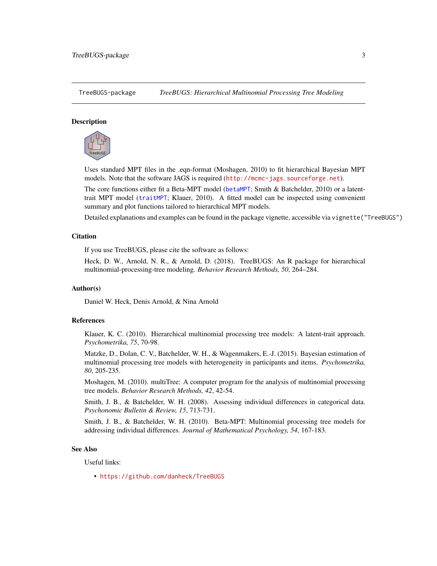<span id="page-2-0"></span>



Uses standard MPT files in the .eqn-format (Moshagen, 2010) to fit hierarchical Bayesian MPT models. Note that the software JAGS is required (<http://mcmc-jags.sourceforge.net>).

The core functions either fit a Beta-MPT model ([betaMPT](#page-6-1); Smith & Batchelder, 2010) or a latenttrait MPT model ([traitMPT](#page-43-1); Klauer, 2010). A fitted model can be inspected using convenient summary and plot functions tailored to hierarchical MPT models.

Detailed explanations and examples can be found in the package vignette, accessible via vignette("TreeBUGS")

#### Citation

If you use TreeBUGS, please cite the software as follows:

Heck, D. W., Arnold, N. R., & Arnold, D. (2018). TreeBUGS: An R package for hierarchical multinomial-processing-tree modeling. *Behavior Research Methods, 50*, 264–284.

#### Author(s)

Daniel W. Heck, Denis Arnold, & Nina Arnold

#### References

Klauer, K. C. (2010). Hierarchical multinomial processing tree models: A latent-trait approach. *Psychometrika, 75*, 70-98.

Matzke, D., Dolan, C. V., Batchelder, W. H., & Wagenmakers, E.-J. (2015). Bayesian estimation of multinomial processing tree models with heterogeneity in participants and items. *Psychometrika, 80*, 205-235.

Moshagen, M. (2010). multiTree: A computer program for the analysis of multinomial processing tree models. *Behavior Research Methods, 42*, 42-54.

Smith, J. B., & Batchelder, W. H. (2008). Assessing individual differences in categorical data. *Psychonomic Bulletin & Review, 15*, 713-731.

Smith, J. B., & Batchelder, W. H. (2010). Beta-MPT: Multinomial processing tree models for addressing individual differences. *Journal of Mathematical Psychology, 54*, 167-183.

#### See Also

Useful links:

• <https://github.com/danheck/TreeBUGS>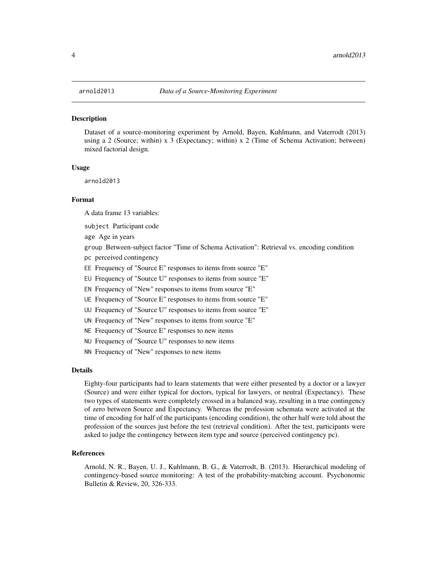<span id="page-3-0"></span>

Dataset of a source-monitoring experiment by Arnold, Bayen, Kuhlmann, and Vaterrodt (2013) using a 2 (Source; within) x 3 (Expectancy; within) x 2 (Time of Schema Activation; between) mixed factorial design.

#### Usage

arnold2013

#### Format

A data frame 13 variables:

subject Participant code

age Age in years

group Between-subject factor "Time of Schema Activation": Retrieval vs. encoding condition

- pc perceived contingency
- EE Frequency of "Source E" responses to items from source "E"

EU Frequency of "Source U" responses to items from source "E"

EN Frequency of "New" responses to items from source "E"

UE Frequency of "Source E" responses to items from source "E"

UU Frequency of "Source U" responses to items from source "E"

UN Frequency of "New" responses to items from source "E"

NE Frequency of "Source E" responses to new items

NU Frequency of "Source U" responses to new items

NN Frequency of "New" responses to new items

#### Details

Eighty-four participants had to learn statements that were either presented by a doctor or a lawyer (Source) and were either typical for doctors, typical for lawyers, or neutral (Expectancy). These two types of statements were completely crossed in a balanced way, resulting in a true contingency of zero between Source and Expectancy. Whereas the profession schemata were activated at the time of encoding for half of the participants (encoding condition), the other half were told about the profession of the sources just before the test (retrieval condition). After the test, participants were asked to judge the contingency between item type and source (perceived contingency pc).

#### References

Arnold, N. R., Bayen, U. J., Kuhlmann, B. G., & Vaterrodt, B. (2013). Hierarchical modeling of contingency-based source monitoring: A test of the probability-matching account. Psychonomic Bulletin & Review, 20, 326-333.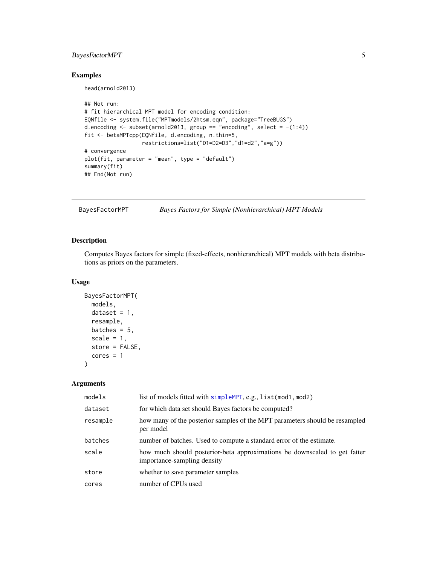#### <span id="page-4-0"></span>BayesFactorMPT 5

#### Examples

head(arnold2013)

```
## Not run:
# fit hierarchical MPT model for encoding condition:
EQNfile <- system.file("MPTmodels/2htsm.eqn", package="TreeBUGS")
d.encoding \le subset(arnold2013, group == "encoding", select = -(1:4))
fit <- betaMPTcpp(EQNfile, d.encoding, n.thin=5,
                  restrictions=list("D1=D2=D3","d1=d2","a=g"))
# convergence
plot(fit, parameter = "mean", type = "default")
summary(fit)
## End(Not run)
```
<span id="page-4-1"></span>BayesFactorMPT *Bayes Factors for Simple (Nonhierarchical) MPT Models*

#### Description

Computes Bayes factors for simple (fixed-effects, nonhierarchical) MPT models with beta distributions as priors on the parameters.

#### Usage

```
BayesFactorMPT(
 models,
  dataset = 1,
  resample,
 batches = 5,
  scale = 1,
  store = FALSE,
  cores = 1)
```

| models   | list of models fitted with simpleMPT, e.g., list (mod1, mod2)                                            |
|----------|----------------------------------------------------------------------------------------------------------|
| dataset  | for which data set should Bayes factors be computed?                                                     |
| resample | how many of the posterior samples of the MPT parameters should be resampled<br>per model                 |
| batches  | number of batches. Used to compute a standard error of the estimate.                                     |
| scale    | how much should posterior-beta approximations be downscaled to get fatter<br>importance-sampling density |
| store    | whether to save parameter samples                                                                        |
| cores    | number of CPUs used                                                                                      |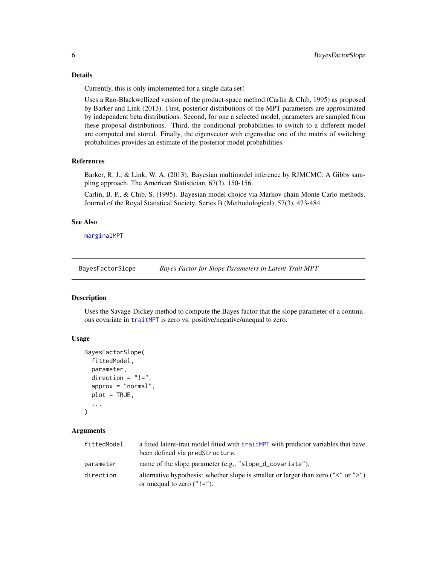#### <span id="page-5-0"></span>Details

Currently, this is only implemented for a single data set!

Uses a Rao-Blackwellized version of the product-space method (Carlin & Chib, 1995) as proposed by Barker and Link (2013). First, posterior distributions of the MPT parameters are approximated by independent beta distributions. Second, for one a selected model, parameters are sampled from these proposal distributions. Third, the conditional probabilities to switch to a different model are computed and stored. Finally, the eigenvector with eigenvalue one of the matrix of switching probabilities provides an estimate of the posterior model probabilities.

#### References

Barker, R. J., & Link, W. A. (2013). Bayesian multimodel inference by RJMCMC: A Gibbs sampling approach. The American Statistician, 67(3), 150-156.

Carlin, B. P., & Chib, S. (1995). Bayesian model choice via Markov chain Monte Carlo methods. Journal of the Royal Statistical Society. Series B (Methodological), 57(3), 473-484.

#### See Also

[marginalMPT](#page-23-1)

BayesFactorSlope *Bayes Factor for Slope Parameters in Latent-Trait MPT*

#### **Description**

Uses the Savage-Dickey method to compute the Bayes factor that the slope parameter of a continuous covariate in [traitMPT](#page-43-1) is zero vs. positive/negative/unequal to zero.

#### Usage

```
BayesFactorSlope(
  fittedModel,
  parameter,
  direction = " !=",approx = "normal",plot = TRUE,
  ...
)
```

| fittedModel | a fitted latent-trait model fitted with traitMPT with predictor variables that have<br>been defined via predStructure.       |
|-------------|------------------------------------------------------------------------------------------------------------------------------|
| parameter   | name of the slope parameter (e.g., "slope_d_covariate").                                                                     |
| direction   | alternative hypothesis: whether slope is smaller or larger than zero (" $\lt$ " or " $>$ ")<br>or unequal to zero $("! =").$ |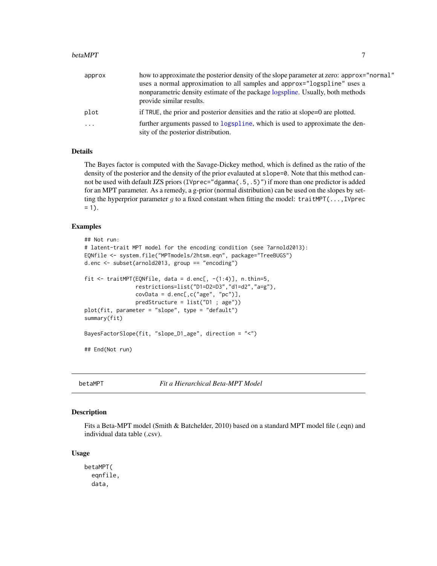#### <span id="page-6-0"></span>betaMPT 7 7

| approx  | how to approximate the posterior density of the slope parameter at zero: approx="normal"                            |
|---------|---------------------------------------------------------------------------------------------------------------------|
|         | uses a normal approximation to all samples and approx="logspline" uses a                                            |
|         | nonparametric density estimate of the package logspline. Usually, both methods                                      |
|         | provide similar results.                                                                                            |
| plot    | if TRUE, the prior and posterior densities and the ratio at slope=0 are plotted.                                    |
| $\cdot$ | further arguments passed to logspline, which is used to approximate the den-<br>sity of the posterior distribution. |

#### Details

The Bayes factor is computed with the Savage-Dickey method, which is defined as the ratio of the density of the posterior and the density of the prior evalauted at slope=0. Note that this method cannot be used with default JZS priors (IVprec="dgamma(.5,.5)") if more than one predictor is added for an MPT parameter. As a remedy, a g-prior (normal distribution) can be used on the slopes by setting the hyperprior parameter g to a fixed constant when fitting the model: traitMPT(...,IVprec  $= 1$ ).

#### Examples

```
## Not run:
# latent-trait MPT model for the encoding condition (see ?arnold2013):
EQNfile <- system.file("MPTmodels/2htsm.eqn", package="TreeBUGS")
d.enc <- subset(arnold2013, group == "encoding")
fit \le traitMPT(EQNfile, data = d.enc[, -(1:4)], n.thin=5,
                restrictions=list("D1=D2=D3","d1=d2","a=g"),
                covData = d.enc[, c("age", "pc")],predStructure = list("D1 ; age"))
plot(fit, parameter = "slope", type = "default")
summary(fit)
BayesFactorSlope(fit, "slope_D1_age", direction = "<")
## End(Not run)
```
<span id="page-6-1"></span>betaMPT *Fit a Hierarchical Beta-MPT Model*

#### Description

Fits a Beta-MPT model (Smith & Batchelder, 2010) based on a standard MPT model file (.eqn) and individual data table (.csv).

#### Usage

```
betaMPT(
  eqnfile,
  data,
```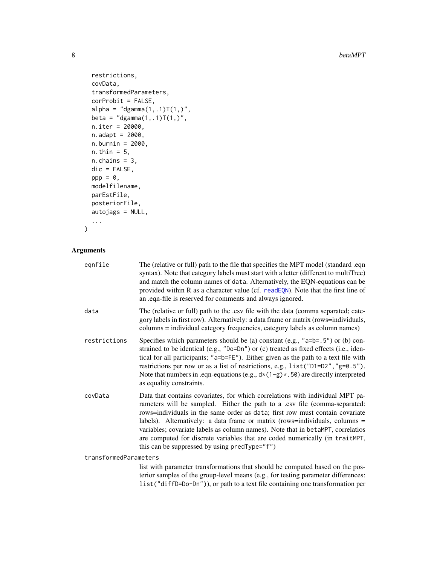```
restrictions,
 covData,
  transformedParameters,
  corProbit = FALSE,
  alpha = "dgamma(1, .1)T(1, )",beta = "dgamma(1, .1)T(1,)",n.iter = 20000,
 n.addapt = 2000,n.burnin = 2000,
 n.thin = 5,
 n.chains = 3,
 dic = FALSE,
 ppp = 0,
 modelfilename,
 parEstFile,
 posteriorFile,
 autojags = NULL,
  ...
\mathcal{L}
```
#### Arguments

| eqnfile               | The (relative or full) path to the file that specifies the MPT model (standard .eqn<br>syntax). Note that category labels must start with a letter (different to multiTree)<br>and match the column names of data. Alternatively, the EQN-equations can be<br>provided within R as a character value (cf. readEQN). Note that the first line of<br>an .eqn-file is reserved for comments and always ignored.                                                                                                                                   |
|-----------------------|------------------------------------------------------------------------------------------------------------------------------------------------------------------------------------------------------------------------------------------------------------------------------------------------------------------------------------------------------------------------------------------------------------------------------------------------------------------------------------------------------------------------------------------------|
| data                  | The (relative or full) path to the .csv file with the data (comma separated; cate-<br>gory labels in first row). Alternatively: a data frame or matrix (rows=individuals,<br>columns = individual category frequencies, category labels as column names)                                                                                                                                                                                                                                                                                       |
| restrictions          | Specifies which parameters should be (a) constant (e.g., " $a=b=0.5$ ") or (b) con-<br>strained to be identical (e.g., "Do=Dn") or (c) treated as fixed effects (i.e., iden-<br>tical for all participants; "a=b=FE"). Either given as the path to a text file with<br>restrictions per row or as a list of restrictions, e.g., list ("D1=D2", "g=0.5").<br>Note that numbers in .eqn-equations (e.g., $d*(1-g)*(50)$ are directly interpreted<br>as equality constraints.                                                                     |
| covData               | Data that contains covariates, for which correlations with individual MPT pa-<br>rameters will be sampled. Either the path to a .csv file (comma-separated:<br>rows=individuals in the same order as data; first row must contain covariate<br>labels). Alternatively: a data frame or matrix (rows=individuals, columns =<br>variables; covariate labels as column names). Note that in betaMPT, correlatios<br>are computed for discrete variables that are coded numerically (in traitMPT,<br>this can be suppressed by using predType="f") |
| transformedParameters |                                                                                                                                                                                                                                                                                                                                                                                                                                                                                                                                                |
|                       | list with parameter transformations that should be computed based on the pos-<br>terior camples of the group level means (e.g. for testing parameter differences:                                                                                                                                                                                                                                                                                                                                                                              |

terior samples of the group-level means (e.g., for testing parameter differences: list("diffD=Do-Dn")), or path to a text file containing one transformation per

<span id="page-7-0"></span>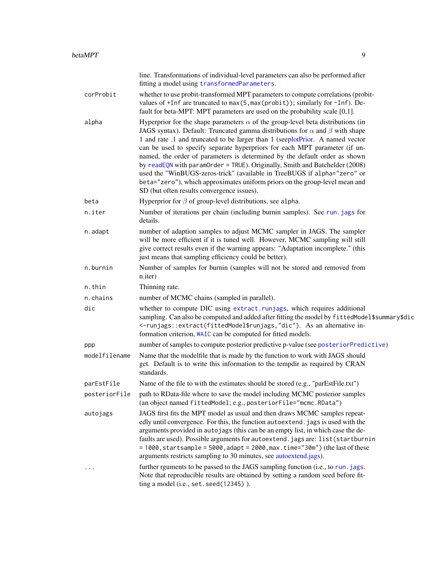<span id="page-8-0"></span>

|               | line. Transformations of individual-level parameters can also be performed after<br>fitting a model using transformedParameters.                                                                                                                                                                                                                                                                                                                                                                                                                                                                                                                                                                                          |
|---------------|---------------------------------------------------------------------------------------------------------------------------------------------------------------------------------------------------------------------------------------------------------------------------------------------------------------------------------------------------------------------------------------------------------------------------------------------------------------------------------------------------------------------------------------------------------------------------------------------------------------------------------------------------------------------------------------------------------------------------|
| corProbit     | whether to use probit-transformed MPT parameters to compute correlations (probit-<br>values of +Inf are truncated to max(5, max(probit)); similarly for -Inf). De-<br>fault for beta-MPT: MPT parameters are used on the probability scale [0,1].                                                                                                                                                                                                                                                                                                                                                                                                                                                                         |
| alpha         | Hyperprior for the shape parameters $\alpha$ of the group-level beta distributions (in<br>JAGS syntax). Default: Truncated gamma distributions for $\alpha$ and $\beta$ with shape<br>1 and rate .1 and truncated to be larger than 1 (seeplotPrior. A named vector<br>can be used to specify separate hyperpriors for each MPT parameter (if un-<br>named, the order of parameters is determined by the default order as shown<br>by readEQN with paramOrder = TRUE). Originally, Smith and Batchelder $(2008)$<br>used the "WinBUGS-zeros-trick" (available in TreeBUGS if alpha="zero" or<br>beta="zero"), which approximates uniform priors on the group-level mean and<br>SD (but often results convergence issues). |
| beta          | Hyperprior for $\beta$ of group-level distributions, see alpha.                                                                                                                                                                                                                                                                                                                                                                                                                                                                                                                                                                                                                                                           |
| n.iter        | Number of iterations per chain (including burnin samples). See run. jags for<br>details.                                                                                                                                                                                                                                                                                                                                                                                                                                                                                                                                                                                                                                  |
| n.adapt       | number of adaption samples to adjust MCMC sampler in JAGS. The sampler<br>will be more efficient if it is tuned well. However, MCMC sampling will still<br>give correct results even if the warning appears: "Adaptation incomplete." (this<br>just means that sampling efficiency could be better).                                                                                                                                                                                                                                                                                                                                                                                                                      |
| n.burnin      | Number of samples for burnin (samples will not be stored and removed from<br>n.iter)                                                                                                                                                                                                                                                                                                                                                                                                                                                                                                                                                                                                                                      |
| n.thin        | Thinning rate.                                                                                                                                                                                                                                                                                                                                                                                                                                                                                                                                                                                                                                                                                                            |
| n.chains      | number of MCMC chains (sampled in parallel).                                                                                                                                                                                                                                                                                                                                                                                                                                                                                                                                                                                                                                                                              |
| dic           | whether to compute DIC using extract.runjags, which requires additional<br>sampling. Can also be computed and added after fitting the model by fittedModel\$summary\$dic<br><-runjags::extract(fittedModel\$runjags,"dic"). As an alternative in-<br>formation criterion, WAIC can be computed for fitted models.                                                                                                                                                                                                                                                                                                                                                                                                         |
| ppp           | number of samples to compute posterior predictive p-value (see posteriorPredictive)                                                                                                                                                                                                                                                                                                                                                                                                                                                                                                                                                                                                                                       |
| modelfilename | Name that the modelfile that is made by the function to work with JAGS should<br>get. Default is to write this information to the tempdir as required by CRAN<br>standards.                                                                                                                                                                                                                                                                                                                                                                                                                                                                                                                                               |
| parEstFile    | Name of the file to with the estimates should be stored (e.g., "parEstFile.txt")                                                                                                                                                                                                                                                                                                                                                                                                                                                                                                                                                                                                                                          |
| posteriorFile | path to RData-file where to save the model including MCMC posterior samples<br>(an object named fittedModel; e.g., posteriorFile="mcmc.RData")                                                                                                                                                                                                                                                                                                                                                                                                                                                                                                                                                                            |
| autojags      | JAGS first fits the MPT model as usual and then draws MCMC samples repeat-<br>edly until convergence. For this, the function autoextend. jags is used with the<br>arguments provided in autojags (this can be an empty list, in which case the de-<br>faults are used). Possible arguments for autoextend. jags are: list(startburnin<br>$= 1000$ , startsample = 5000, adapt = 2000, max.time="30m") (the last of these<br>arguments restricts sampling to 30 minutes, see autoextend.jags).                                                                                                                                                                                                                             |
|               | further reguments to be passed to the JAGS sampling function (i.e., to run. jags.<br>Note that reproducible results are obtained by setting a random seed before fit-<br>ting a model (i.e., set. seed(12345)).                                                                                                                                                                                                                                                                                                                                                                                                                                                                                                           |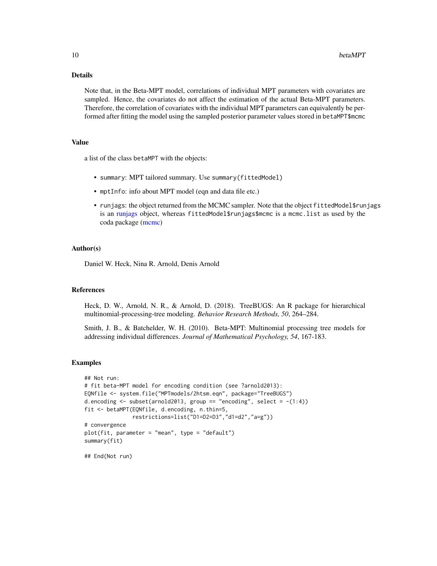#### Details

Note that, in the Beta-MPT model, correlations of individual MPT parameters with covariates are sampled. Hence, the covariates do not affect the estimation of the actual Beta-MPT parameters. Therefore, the correlation of covariates with the individual MPT parameters can equivalently be performed after fitting the model using the sampled posterior parameter values stored in betaMPT\$mcmc

#### Value

a list of the class betaMPT with the objects:

- summary: MPT tailored summary. Use summary(fittedModel)
- mptInfo: info about MPT model (eqn and data file etc.)
- runjags: the object returned from the MCMC sampler. Note that the object fittedModel\$runjags is an [runjags](#page-0-0) object, whereas fittedModel\$runjags\$mcmc is a mcmc.list as used by the coda package [\(mcmc\)](#page-0-0)

#### Author(s)

Daniel W. Heck, Nina R. Arnold, Denis Arnold

#### References

Heck, D. W., Arnold, N. R., & Arnold, D. (2018). TreeBUGS: An R package for hierarchical multinomial-processing-tree modeling. *Behavior Research Methods, 50*, 264–284.

Smith, J. B., & Batchelder, W. H. (2010). Beta-MPT: Multinomial processing tree models for addressing individual differences. *Journal of Mathematical Psychology, 54*, 167-183.

#### Examples

```
## Not run:
# fit beta-MPT model for encoding condition (see ?arnold2013):
EQNfile <- system.file("MPTmodels/2htsm.eqn", package="TreeBUGS")
d.encoding \le subset(arnold2013, group == "encoding", select = -(1:4))
fit <- betaMPT(EQNfile, d.encoding, n.thin=5,
               restrictions=list("D1=D2=D3","d1=d2","a=g"))
# convergence
plot(fit, parameter = "mean", type = "default")
summary(fit)
```
## End(Not run)

<span id="page-9-0"></span>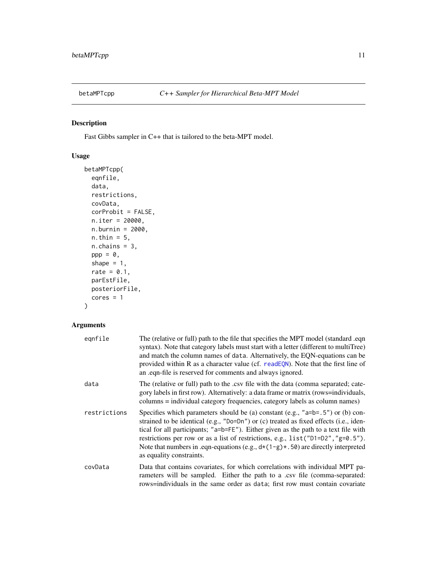<span id="page-10-0"></span>

Fast Gibbs sampler in C++ that is tailored to the beta-MPT model.

#### Usage

```
betaMPTcpp(
 eqnfile,
 data,
 restrictions,
 covData,
 corProbit = FALSE,
 n.iter = 20000,
 n.burnin = 2000,
 n.thin = 5,
 n.chains = 3,
 ppp = 0,
  shape = 1,
  rate = 0.1,
 parEstFile,
 posteriorFile,
  cores = 1)
```

| eqnfile      | The (relative or full) path to the file that specifies the MPT model (standard .eqn<br>syntax). Note that category labels must start with a letter (different to multiTree)<br>and match the column names of data. Alternatively, the EQN-equations can be<br>provided within R as a character value (cf. readEQN). Note that the first line of<br>an eqn-file is reserved for comments and always ignored.                                                              |
|--------------|--------------------------------------------------------------------------------------------------------------------------------------------------------------------------------------------------------------------------------------------------------------------------------------------------------------------------------------------------------------------------------------------------------------------------------------------------------------------------|
| data         | The (relative or full) path to the .csv file with the data (comma separated; cate-<br>gory labels in first row). Alternatively: a data frame or matrix (rows=individuals,<br>columns = individual category frequencies, category labels as column names)                                                                                                                                                                                                                 |
| restrictions | Specifies which parameters should be (a) constant (e.g., " $a=b=5$ ") or (b) con-<br>strained to be identical (e.g., "Do=Dn") or (c) treated as fixed effects (i.e., iden-<br>tical for all participants; "a=b=FE"). Either given as the path to a text file with<br>restrictions per row or as a list of restrictions, e.g., list ("D1=D2", "g=0.5").<br>Note that numbers in .eqn-equations (e.g., $d*(1-g)*(50)$ are directly interpreted<br>as equality constraints. |
| covData      | Data that contains covariates, for which correlations with individual MPT pa-<br>rameters will be sampled. Either the path to a .csv file (comma-separated:<br>rows=individuals in the same order as data; first row must contain covariate                                                                                                                                                                                                                              |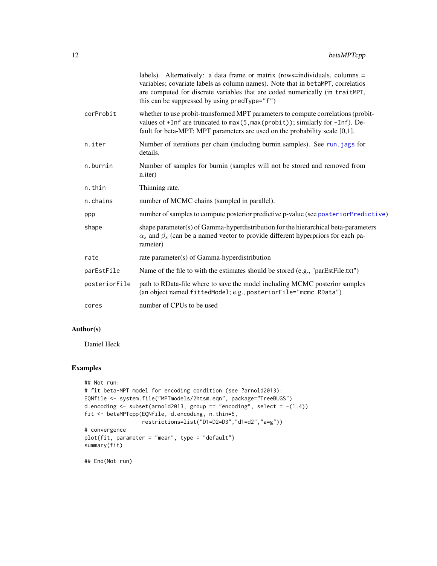<span id="page-11-0"></span>

|               | labels). Alternatively: a data frame or matrix (rows=individuals, columns =<br>variables; covariate labels as column names). Note that in betaMPT, correlatios<br>are computed for discrete variables that are coded numerically (in traitMPT,<br>this can be suppressed by using predType="f") |
|---------------|-------------------------------------------------------------------------------------------------------------------------------------------------------------------------------------------------------------------------------------------------------------------------------------------------|
| corProbit     | whether to use probit-transformed MPT parameters to compute correlations (probit-<br>values of +Inf are truncated to max(5, max(probit)); similarly for -Inf). De-<br>fault for beta-MPT: MPT parameters are used on the probability scale [0,1].                                               |
| n.iter        | Number of iterations per chain (including burnin samples). See run. jags for<br>details.                                                                                                                                                                                                        |
| n.burnin      | Number of samples for burnin (samples will not be stored and removed from<br>n.iter)                                                                                                                                                                                                            |
| n.thin        | Thinning rate.                                                                                                                                                                                                                                                                                  |
| n.chains      | number of MCMC chains (sampled in parallel).                                                                                                                                                                                                                                                    |
| ppp           | number of samples to compute posterior predictive p-value (see posteriorPredictive)                                                                                                                                                                                                             |
| shape         | shape parameter(s) of Gamma-hyperdistribution for the hierarchical beta-parameters<br>$\alpha_s$ and $\beta_s$ (can be a named vector to provide different hyperpriors for each pa-<br>rameter)                                                                                                 |
| rate          | rate parameter(s) of Gamma-hyperdistribution                                                                                                                                                                                                                                                    |
| parEstFile    | Name of the file to with the estimates should be stored (e.g., "parEstFile.txt")                                                                                                                                                                                                                |
| posteriorFile | path to RData-file where to save the model including MCMC posterior samples<br>(an object named fittedModel; e.g., posteriorFile="mcmc.RData")                                                                                                                                                  |
| cores         | number of CPUs to be used                                                                                                                                                                                                                                                                       |
|               |                                                                                                                                                                                                                                                                                                 |

#### Author(s)

Daniel Heck

#### Examples

```
## Not run:
# fit beta-MPT model for encoding condition (see ?arnold2013):
EQNfile <- system.file("MPTmodels/2htsm.eqn", package="TreeBUGS")
d.encoding \le subset(arnold2013, group == "encoding", select = -(1:4))
fit <- betaMPTcpp(EQNfile, d.encoding, n.thin=5,
                  restrictions=list("D1=D2=D3","d1=d2","a=g"))
# convergence
plot(fit, parameter = "mean", type = "default")
summary(fit)
```
## End(Not run)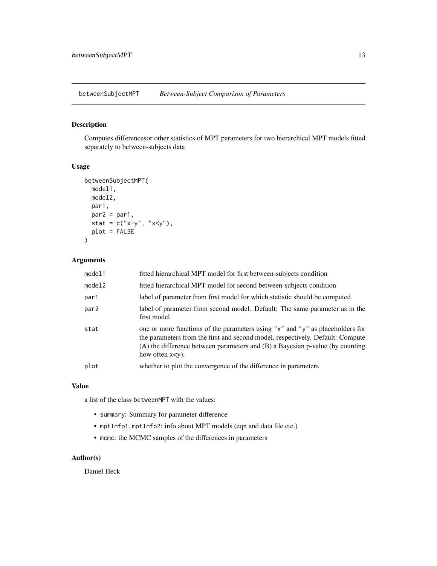<span id="page-12-0"></span>betweenSubjectMPT *Between-Subject Comparison of Parameters*

#### Description

Computes differencesor other statistics of MPT parameters for two hierarchical MPT models fitted separately to between-subjects data

#### Usage

```
betweenSubjectMPT(
  model1,
  model2,
  par1,
  par2 = par1,
  stat = c("x-y", "x<y"),
  plot = FALSE
\mathcal{L}
```
#### Arguments

| model1           | fitted hierarchical MPT model for first between-subjects condition                                                                                                                                                                                                           |
|------------------|------------------------------------------------------------------------------------------------------------------------------------------------------------------------------------------------------------------------------------------------------------------------------|
| model2           | fitted hierarchical MPT model for second between-subjects condition                                                                                                                                                                                                          |
| par1             | label of parameter from first model for which statistic should be computed                                                                                                                                                                                                   |
| par <sub>2</sub> | label of parameter from second model. Default: The same parameter as in the<br>first model                                                                                                                                                                                   |
| stat             | one or more functions of the parameters using "x" and "y" as placeholders for<br>the parameters from the first and second model, respectively. Default: Compute<br>$(A)$ the difference between parameters and $(B)$ a Bayesian p-value (by counting<br>how often $x < y$ ). |
| plot             | whether to plot the convergence of the difference in parameters                                                                                                                                                                                                              |

#### Value

a list of the class betweenMPT with the values:

- summary: Summary for parameter difference
- mptInfo1, mptInfo2: info about MPT models (eqn and data file etc.)
- mcmc: the MCMC samples of the differences in parameters

#### Author(s)

Daniel Heck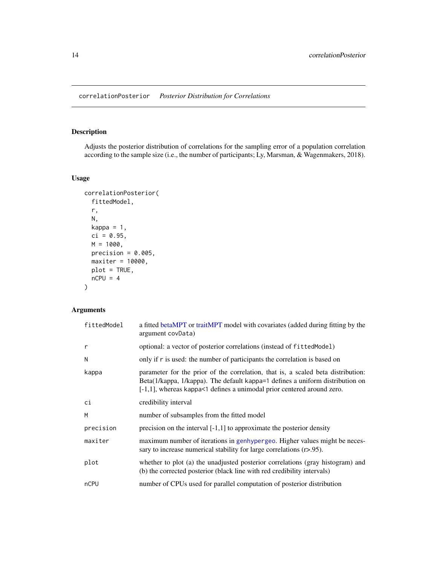<span id="page-13-0"></span>Adjusts the posterior distribution of correlations for the sampling error of a population correlation according to the sample size (i.e., the number of participants; Ly, Marsman, & Wagenmakers, 2018).

#### Usage

```
correlationPosterior(
 fittedModel,
  r,
 N,
 kappa = 1,
 ci = 0.95,M = 1000,precision = 0.005,
 maxiter = 10000,
 plot = TRUE,
 nCPU = 4)
```

| fittedModel  | a fitted betaMPT or traitMPT model with covariates (added during fitting by the<br>argument covData)                                                                                                                                           |
|--------------|------------------------------------------------------------------------------------------------------------------------------------------------------------------------------------------------------------------------------------------------|
| $\mathsf{r}$ | optional: a vector of posterior correlations (instead of fittedModel)                                                                                                                                                                          |
| N            | only if $\mathbf r$ is used: the number of participants the correlation is based on                                                                                                                                                            |
| kappa        | parameter for the prior of the correlation, that is, a scaled beta distribution:<br>Beta(1/kappa, 1/kappa). The default kappa=1 defines a uniform distribution on<br>$[-1,1]$ , whereas kappa<1 defines a unimodal prior centered around zero. |
| ci           | credibility interval                                                                                                                                                                                                                           |
| M            | number of subsamples from the fitted model                                                                                                                                                                                                     |
| precision    | precision on the interval $[-1,1]$ to approximate the posterior density                                                                                                                                                                        |
| maxiter      | maximum number of iterations in genhypergeo. Higher values might be neces-<br>sary to increase numerical stability for large correlations $(r>0.95)$ .                                                                                         |
| plot         | whether to plot (a) the unadjusted posterior correlations (gray histogram) and<br>(b) the corrected posterior (black line with red credibility intervals)                                                                                      |
| nCPU         | number of CPUs used for parallel computation of posterior distribution                                                                                                                                                                         |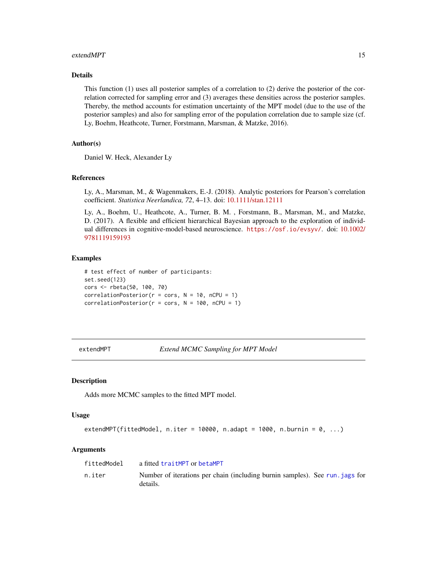#### <span id="page-14-0"></span>extendMPT 15

#### Details

This function (1) uses all posterior samples of a correlation to (2) derive the posterior of the correlation corrected for sampling error and (3) averages these densities across the posterior samples. Thereby, the method accounts for estimation uncertainty of the MPT model (due to the use of the posterior samples) and also for sampling error of the population correlation due to sample size (cf. Ly, Boehm, Heathcote, Turner, Forstmann, Marsman, & Matzke, 2016).

#### Author(s)

Daniel W. Heck, Alexander Ly

#### References

Ly, A., Marsman, M., & Wagenmakers, E.-J. (2018). Analytic posteriors for Pearson's correlation coefficient. *Statistica Neerlandica, 72*, 4–13. doi: [10.1111/stan.12111](https://doi.org/10.1111/stan.12111)

Ly, A., Boehm, U., Heathcote, A., Turner, B. M. , Forstmann, B., Marsman, M., and Matzke, D. (2017). A flexible and efficient hierarchical Bayesian approach to the exploration of individual differences in cognitive-model-based neuroscience. <https://osf.io/evsyv/>. doi: [10.1002/](https://doi.org/10.1002/9781119159193) [9781119159193](https://doi.org/10.1002/9781119159193)

#### Examples

```
# test effect of number of participants:
set.seed(123)
cors <- rbeta(50, 100, 70)
correlationPosterior(r = \text{cors}, N = 10, nCPU = 1)
correlationPosterior(r = \text{cors}, N = 100, nCPU = 1)
```
extendMPT *Extend MCMC Sampling for MPT Model*

#### Description

Adds more MCMC samples to the fitted MPT model.

#### Usage

```
extendMPT(fittedModel, n.iter = 10000, n.adapt = 1000, n.burnin = 0, ...)
```

| fittedModel | a fitted traitMPT or betaMPT                                                             |
|-------------|------------------------------------------------------------------------------------------|
| n.iter      | Number of iterations per chain (including burnin samples). See run, jags for<br>details. |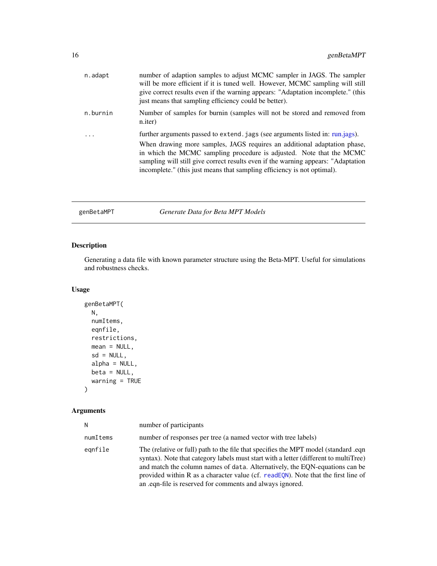<span id="page-15-0"></span>

| n.adapt  | number of adaption samples to adjust MCMC sampler in JAGS. The sampler<br>will be more efficient if it is tuned well. However, MCMC sampling will still<br>give correct results even if the warning appears: "Adaptation incomplete." (this<br>just means that sampling efficiency could be better).                                                                                               |
|----------|----------------------------------------------------------------------------------------------------------------------------------------------------------------------------------------------------------------------------------------------------------------------------------------------------------------------------------------------------------------------------------------------------|
| n.burnin | Number of samples for burnin (samples will not be stored and removed from<br>n.iter)                                                                                                                                                                                                                                                                                                               |
|          | further arguments passed to extend. jags (see arguments listed in: run.jags).<br>When drawing more samples, JAGS requires an additional adaptation phase,<br>in which the MCMC sampling procedure is adjusted. Note that the MCMC<br>sampling will still give correct results even if the warning appears: "Adaptation"<br>incomplete." (this just means that sampling efficiency is not optimal). |

<span id="page-15-1"></span>genBetaMPT *Generate Data for Beta MPT Models*

#### Description

Generating a data file with known parameter structure using the Beta-MPT. Useful for simulations and robustness checks.

#### Usage

```
genBetaMPT(
 N,
 numItems,
 eqnfile,
 restrictions,
 mean = NULL,sd = NULL,alpha = NULL,beta = NULL,warning = TRUE
)
```

| N        | number of participants                                                                                                                                                                                                                                                                                                                                                                                       |
|----------|--------------------------------------------------------------------------------------------------------------------------------------------------------------------------------------------------------------------------------------------------------------------------------------------------------------------------------------------------------------------------------------------------------------|
| numItems | number of responses per tree (a named vector with tree labels)                                                                                                                                                                                                                                                                                                                                               |
| eqnfile  | The (relative or full) path to the file that specifies the MPT model (standard .eqn<br>syntax). Note that category labels must start with a letter (different to multiTree)<br>and match the column names of data. Alternatively, the EQN-equations can be<br>provided within R as a character value (cf. readEON). Note that the first line of<br>an .eqn-file is reserved for comments and always ignored. |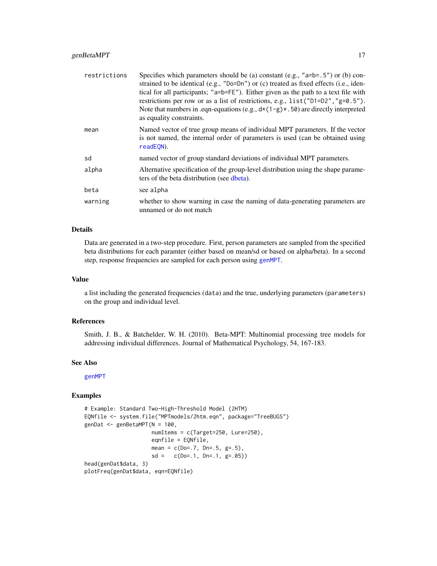#### <span id="page-16-0"></span>genBetaMPT 17

| restrictions | Specifies which parameters should be (a) constant (e.g., " $a=b=5$ ") or (b) con-<br>strained to be identical (e.g., "Do=Dn") or (c) treated as fixed effects (i.e., iden-<br>tical for all participants; "a=b=FE"). Either given as the path to a text file with<br>restrictions per row or as a list of restrictions, e.g., list ("D1=D2", "g=0.5").<br>Note that numbers in .eqn-equations (e.g., $d*(1-g)*(50)$ ) are directly interpreted<br>as equality constraints. |
|--------------|----------------------------------------------------------------------------------------------------------------------------------------------------------------------------------------------------------------------------------------------------------------------------------------------------------------------------------------------------------------------------------------------------------------------------------------------------------------------------|
| mean         | Named vector of true group means of individual MPT parameters. If the vector<br>is not named, the internal order of parameters is used (can be obtained using<br>readEON).                                                                                                                                                                                                                                                                                                 |
| sd           | named vector of group standard deviations of individual MPT parameters.                                                                                                                                                                                                                                                                                                                                                                                                    |
| alpha        | Alternative specification of the group-level distribution using the shape parame-<br>ters of the beta distribution (see dbeta).                                                                                                                                                                                                                                                                                                                                            |
| beta         | see alpha                                                                                                                                                                                                                                                                                                                                                                                                                                                                  |
| warning      | whether to show warning in case the naming of data-generating parameters are<br>unnamed or do not match                                                                                                                                                                                                                                                                                                                                                                    |

#### Details

Data are generated in a two-step procedure. First, person parameters are sampled from the specified beta distributions for each paramter (either based on mean/sd or based on alpha/beta). In a second step, response frequencies are sampled for each person using [genMPT](#page-17-1).

#### Value

a list including the generated frequencies (data) and the true, underlying parameters (parameters) on the group and individual level.

#### References

Smith, J. B., & Batchelder, W. H. (2010). Beta-MPT: Multinomial processing tree models for addressing individual differences. Journal of Mathematical Psychology, 54, 167-183.

#### See Also

[genMPT](#page-17-1)

```
# Example: Standard Two-High-Threshold Model (2HTM)
EQNfile <- system.file("MPTmodels/2htm.eqn", package="TreeBUGS")
genDat <- genBetaMPT(N = 100,
                    numItems = c(Target=250, Lure=250),
                    eqnfile = EQNfile,
                    mean = c(Do=.7, Dn=.5, g=.5),
                     sd = c(Do=.1, Dn=.1, g=.05)head(genDat$data, 3)
plotFreq(genDat$data, eqn=EQNfile)
```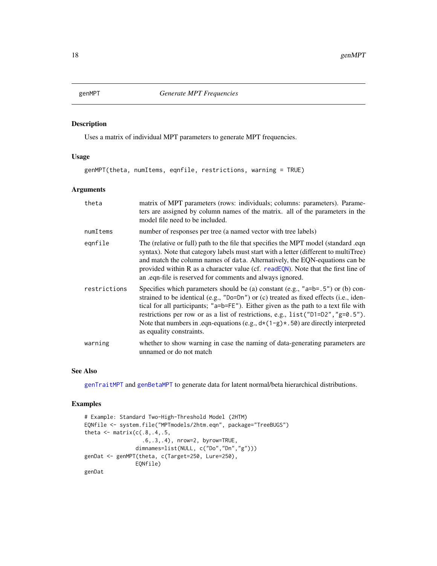Uses a matrix of individual MPT parameters to generate MPT frequencies.

#### Usage

genMPT(theta, numItems, eqnfile, restrictions, warning = TRUE)

#### Arguments

| theta        | matrix of MPT parameters (rows: individuals; columns: parameters). Parame-<br>ters are assigned by column names of the matrix. all of the parameters in the<br>model file need to be included.                                                                                                                                                                                                                                                                             |
|--------------|----------------------------------------------------------------------------------------------------------------------------------------------------------------------------------------------------------------------------------------------------------------------------------------------------------------------------------------------------------------------------------------------------------------------------------------------------------------------------|
| numItems     | number of responses per tree (a named vector with tree labels)                                                                                                                                                                                                                                                                                                                                                                                                             |
| egnfile      | The (relative or full) path to the file that specifies the MPT model (standard .eqn<br>syntax). Note that category labels must start with a letter (different to multiTree)<br>and match the column names of data. Alternatively, the EQN-equations can be<br>provided within R as a character value (cf. readEQN). Note that the first line of<br>an eqn-file is reserved for comments and always ignored.                                                                |
| restrictions | Specifies which parameters should be (a) constant (e.g., " $a=b=0.5$ ") or (b) con-<br>strained to be identical (e.g., "Do=Dn") or (c) treated as fixed effects (i.e., iden-<br>tical for all participants; "a=b=FE"). Either given as the path to a text file with<br>restrictions per row or as a list of restrictions, e.g., list ("D1=D2", "g=0.5").<br>Note that numbers in .eqn-equations (e.g., $d*(1-g)*(50)$ are directly interpreted<br>as equality constraints. |
| warning      | whether to show warning in case the naming of data-generating parameters are<br>unnamed or do not match                                                                                                                                                                                                                                                                                                                                                                    |

#### See Also

[genTraitMPT](#page-18-1) and [genBetaMPT](#page-15-1) to generate data for latent normal/beta hierarchical distributions.

```
# Example: Standard Two-High-Threshold Model (2HTM)
EQNfile <- system.file("MPTmodels/2htm.eqn", package="TreeBUGS")
theta \leq matrix(c(.8,.4,.5,
                  .6,.3,.4), nrow=2, byrow=TRUE,
                dimnames=list(NULL, c("Do","Dn","g")))
genDat <- genMPT(theta, c(Target=250, Lure=250),
                EQNfile)
genDat
```
<span id="page-17-1"></span><span id="page-17-0"></span>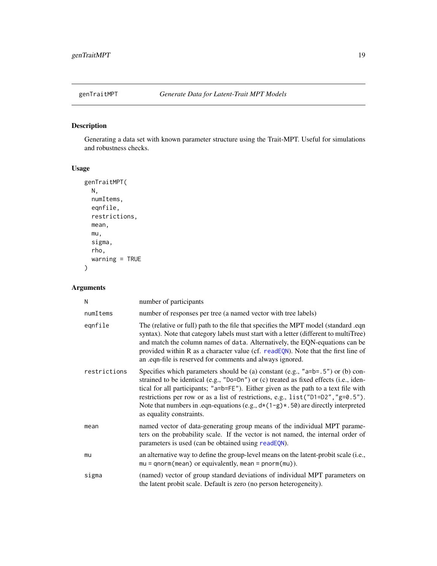<span id="page-18-1"></span><span id="page-18-0"></span>

Generating a data set with known parameter structure using the Trait-MPT. Useful for simulations and robustness checks.

#### Usage

```
genTraitMPT(
  N,
  numItems,
  eqnfile,
  restrictions,
  mean,
  mu,
  sigma,
  rho,
  warning = TRUE
\overline{\phantom{a}}
```

| N            | number of participants                                                                                                                                                                                                                                                                                                                                                                                                                                                   |
|--------------|--------------------------------------------------------------------------------------------------------------------------------------------------------------------------------------------------------------------------------------------------------------------------------------------------------------------------------------------------------------------------------------------------------------------------------------------------------------------------|
| numItems     | number of responses per tree (a named vector with tree labels)                                                                                                                                                                                                                                                                                                                                                                                                           |
| egnfile      | The (relative or full) path to the file that specifies the MPT model (standard .eqn<br>syntax). Note that category labels must start with a letter (different to multiTree)<br>and match the column names of data. Alternatively, the EQN-equations can be<br>provided within R as a character value (cf. readEQN). Note that the first line of<br>an .eqn-file is reserved for comments and always ignored.                                                             |
| restrictions | Specifies which parameters should be (a) constant (e.g., " $a=b=5$ ") or (b) con-<br>strained to be identical (e.g., "Do=Dn") or (c) treated as fixed effects (i.e., iden-<br>tical for all participants; "a=b=FE"). Either given as the path to a text file with<br>restrictions per row or as a list of restrictions, e.g., list ("D1=D2", "g=0.5").<br>Note that numbers in .eqn-equations (e.g., $d*(1-g)*(50)$ are directly interpreted<br>as equality constraints. |
| mean         | named vector of data-generating group means of the individual MPT parame-<br>ters on the probability scale. If the vector is not named, the internal order of<br>parameters is used (can be obtained using readEQN).                                                                                                                                                                                                                                                     |
| mu           | an alternative way to define the group-level means on the latent-probit scale (i.e.,<br>$mu = qnorm(mean)$ or equivalently, mean = $pnorm(mu)$ ).                                                                                                                                                                                                                                                                                                                        |
| sigma        | (named) vector of group standard deviations of individual MPT parameters on<br>the latent probit scale. Default is zero (no person heterogeneity).                                                                                                                                                                                                                                                                                                                       |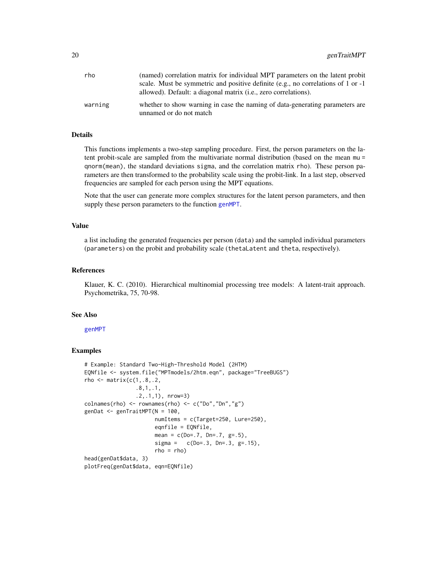<span id="page-19-0"></span>

| rho     | (named) correlation matrix for individual MPT parameters on the latent probit                           |
|---------|---------------------------------------------------------------------------------------------------------|
|         | scale. Must be symmetric and positive definite (e.g., no correlations of 1 or $-1$ )                    |
|         | allowed). Default: a diagonal matrix <i>(i.e.</i> , zero correlations).                                 |
| warning | whether to show warning in case the naming of data-generating parameters are<br>unnamed or do not match |

#### Details

This functions implements a two-step sampling procedure. First, the person parameters on the latent probit-scale are sampled from the multivariate normal distribution (based on the mean mu = qnorm(mean), the standard deviations sigma, and the correlation matrix rho). These person parameters are then transformed to the probability scale using the probit-link. In a last step, observed frequencies are sampled for each person using the MPT equations.

Note that the user can generate more complex structures for the latent person parameters, and then supply these person parameters to the function [genMPT](#page-17-1).

#### Value

a list including the generated frequencies per person (data) and the sampled individual parameters (parameters) on the probit and probability scale (thetaLatent and theta, respectively).

#### References

Klauer, K. C. (2010). Hierarchical multinomial processing tree models: A latent-trait approach. Psychometrika, 75, 70-98.

#### See Also

[genMPT](#page-17-1)

```
# Example: Standard Two-High-Threshold Model (2HTM)
EQNfile <- system.file("MPTmodels/2htm.eqn", package="TreeBUGS")
rho \leq matrix(c(1,.8,.2,
                .8,1,.1,
                .2,.1,1), nrow=3)
colnames(rho) \leq rownames(rho) \leq c("Do","Dn","g")
genDat <- genTraitMPT(N = 100,
                      numItems = c(Target=250, Lure=250),
                      eqnfile = EQNfile,
                      mean = c(Do=0.7, Dn=.7, g=.5),
                      signa = c(Do=.3, Dn=.3, g=.15),
                      rho = rho)head(genDat$data, 3)
plotFreq(genDat$data, eqn=EQNfile)
```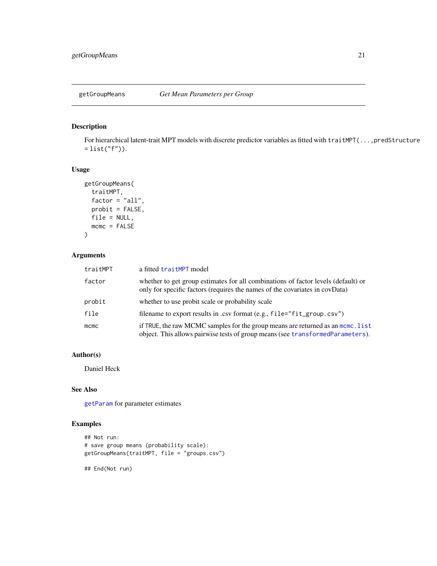<span id="page-20-1"></span><span id="page-20-0"></span>

For hierarchical latent-trait MPT models with discrete predictor variables as fitted with traitMPT(...,predStructure  $=$  list("f")).

#### Usage

```
getGroupMeans(
  traitMPT,
 factor = "all",probit = FALSE,file = NULL,
 mcmc = FALSE
)
```
#### Arguments

| traitMPT | a fitted traitMPT model                                                                                                                                           |
|----------|-------------------------------------------------------------------------------------------------------------------------------------------------------------------|
| factor   | whether to get group estimates for all combinations of factor levels (default) or<br>only for specific factors (requires the names of the covariates in covData)  |
| probit   | whether to use probit scale or probability scale                                                                                                                  |
| file     | filename to export results in .csv format (e.g., file="fit_group.csv")                                                                                            |
| mcmc     | if TRUE, the raw MCMC samples for the group means are returned as an mome. list<br>object. This allows pairwise tests of group means (see transformedParameters). |

#### Author(s)

Daniel Heck

#### See Also

[getParam](#page-21-1) for parameter estimates

#### Examples

```
## Not run:
# save group means (probability scale):
getGroupMeans(traitMPT, file = "groups.csv")
```
## End(Not run)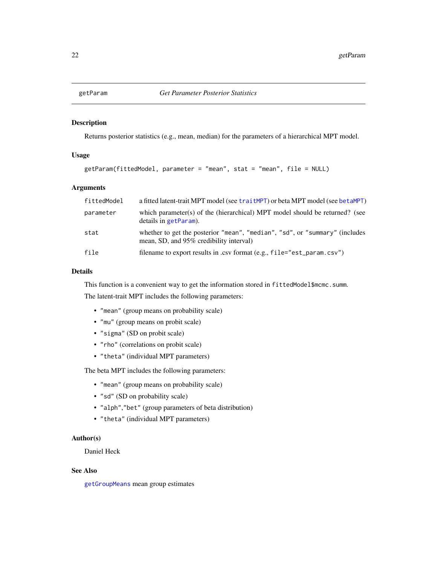<span id="page-21-1"></span><span id="page-21-0"></span>

Returns posterior statistics (e.g., mean, median) for the parameters of a hierarchical MPT model.

#### Usage

```
getParam(fittedModel, parameter = "mean", stat = "mean", file = NULL)
```
#### Arguments

| fittedModel | a fitted latent-trait MPT model (see traitMPT) or beta MPT model (see betaMPT)                                         |
|-------------|------------------------------------------------------------------------------------------------------------------------|
| parameter   | which parameter(s) of the (hierarchical) MPT model should be returned? (see<br>details in getParam).                   |
| stat        | whether to get the posterior "mean", "median", "sd", or "summary" (includes<br>mean, SD, and 95% credibility interval) |
| file        | filename to export results in .csv format (e.g., file="est_param.csv")                                                 |

#### Details

This function is a convenient way to get the information stored in fittedModel\$mcmc.summ. The latent-trait MPT includes the following parameters:

- "mean" (group means on probability scale)
- "mu" (group means on probit scale)
- "sigma" (SD on probit scale)
- "rho" (correlations on probit scale)
- "theta" (individual MPT parameters)

The beta MPT includes the following parameters:

- "mean" (group means on probability scale)
- "sd" (SD on probability scale)
- "alph","bet" (group parameters of beta distribution)
- "theta" (individual MPT parameters)

#### Author(s)

Daniel Heck

#### See Also

[getGroupMeans](#page-20-1) mean group estimates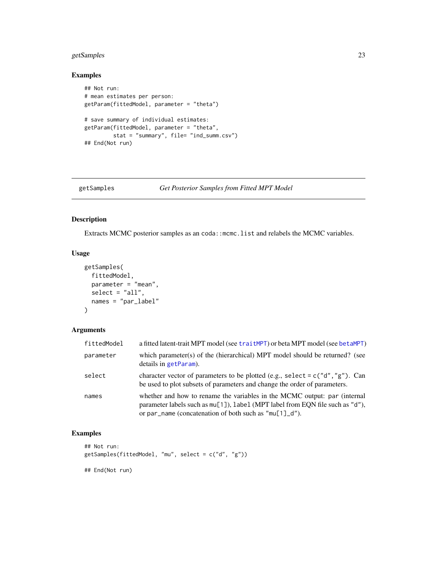#### <span id="page-22-0"></span>getSamples 23

#### Examples

```
## Not run:
# mean estimates per person:
getParam(fittedModel, parameter = "theta")
# save summary of individual estimates:
getParam(fittedModel, parameter = "theta",
        stat = "summary", file= "ind_summ.csv")
## End(Not run)
```

```
getSamples Get Posterior Samples from Fitted MPT Model
```
#### Description

Extracts MCMC posterior samples as an coda::mcmc.list and relabels the MCMC variables.

#### Usage

```
getSamples(
 fittedModel,
 parameter = "mean",
 select = "all",names = "par_label"
)
```
#### Arguments

| fittedModel | a fitted latent-trait MPT model (see traitMPT) or beta MPT model (see betaMPT)                                                                                                                                           |
|-------------|--------------------------------------------------------------------------------------------------------------------------------------------------------------------------------------------------------------------------|
| parameter   | which parameter(s) of the (hierarchical) MPT model should be returned? (see<br>details in getParam).                                                                                                                     |
| select      | character vector of parameters to be plotted (e.g., select = $c("d", "g")$ ). Can<br>be used to plot subsets of parameters and change the order of parameters.                                                           |
| names       | whether and how to rename the variables in the MCMC output: par (internal<br>parameter labels such as mu[1]), label (MPT label from EQN file such as "d"),<br>or par name (concatenation of both such as "mu[1] $-d$ "). |

```
## Not run:
getSamples(fittedModel, "mu", select = c("d", "g"))
## End(Not run)
```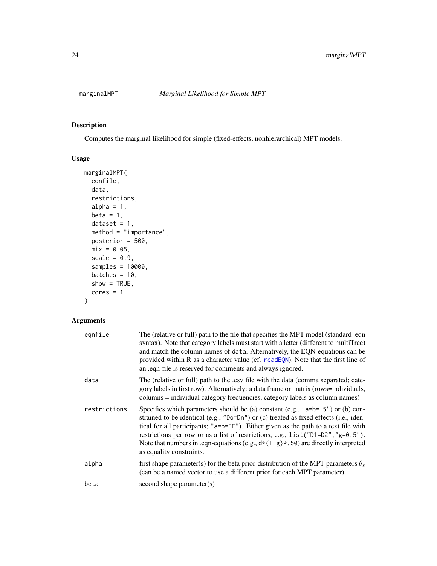<span id="page-23-1"></span><span id="page-23-0"></span>

Computes the marginal likelihood for simple (fixed-effects, nonhierarchical) MPT models.

#### Usage

```
marginalMPT(
  eqnfile,
 data,
 restrictions,
 alpha = 1,
 beta = 1,
 dataset = 1,
 method = "importance",
 posterior = 500,
 mix = 0.05,scale = 0.9,
  samples = 10000,
 batches = 10,
  show = TRUE,
 cores = 1)
```

| eqnfile      | The (relative or full) path to the file that specifies the MPT model (standard .eqn<br>syntax). Note that category labels must start with a letter (different to multiTree)<br>and match the column names of data. Alternatively, the EQN-equations can be<br>provided within R as a character value (cf. readEQN). Note that the first line of<br>an .eqn-file is reserved for comments and always ignored.                                                            |
|--------------|-------------------------------------------------------------------------------------------------------------------------------------------------------------------------------------------------------------------------------------------------------------------------------------------------------------------------------------------------------------------------------------------------------------------------------------------------------------------------|
| data         | The (relative or full) path to the .csv file with the data (comma separated; cate-<br>gory labels in first row). Alternatively: a data frame or matrix (rows=individuals,<br>columns = individual category frequencies, category labels as column names)                                                                                                                                                                                                                |
| restrictions | Specifies which parameters should be (a) constant (e.g., " $a=b=5$ ") or (b) con-<br>strained to be identical (e.g., "Do=Dn") or (c) treated as fixed effects (i.e., iden-<br>tical for all participants; "a=b=FE"). Either given as the path to a text file with<br>restrictions per row or as a list of restrictions, e.g., list("D1=D2", "g=0.5").<br>Note that numbers in .eqn-equations (e.g., $d*(1-g)*(50)$ are directly interpreted<br>as equality constraints. |
| alpha        | first shape parameter(s) for the beta prior-distribution of the MPT parameters $\theta_s$<br>(can be a named vector to use a different prior for each MPT parameter)                                                                                                                                                                                                                                                                                                    |
| beta         | second shape parameter(s)                                                                                                                                                                                                                                                                                                                                                                                                                                               |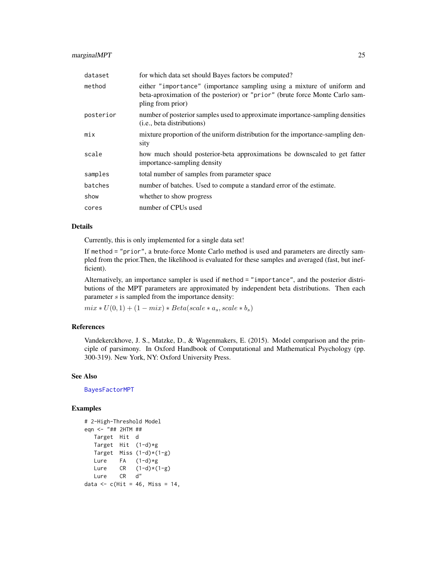#### <span id="page-24-0"></span>marginalMPT 25

| dataset   | for which data set should Bayes factors be computed?                                                                                                                         |
|-----------|------------------------------------------------------------------------------------------------------------------------------------------------------------------------------|
| method    | either "importance" (importance sampling using a mixture of uniform and<br>beta-aproximation of the posterior) or "prior" (brute force Monte Carlo sam-<br>pling from prior) |
| posterior | number of posterior samples used to approximate importance-sampling densities<br>( <i>i.e.</i> , beta distributions)                                                         |
| mix       | mixture proportion of the uniform distribution for the importance-sampling den-<br>sity                                                                                      |
| scale     | how much should posterior-beta approximations be downscaled to get fatter<br>importance-sampling density                                                                     |
| samples   | total number of samples from parameter space                                                                                                                                 |
| batches   | number of batches. Used to compute a standard error of the estimate.                                                                                                         |
| show      | whether to show progress                                                                                                                                                     |
| cores     | number of CPUs used                                                                                                                                                          |

#### Details

Currently, this is only implemented for a single data set!

If method = "prior", a brute-force Monte Carlo method is used and parameters are directly sampled from the prior.Then, the likelihood is evaluated for these samples and averaged (fast, but inefficient).

Alternatively, an importance sampler is used if method = "importance", and the posterior distributions of the MPT parameters are approximated by independent beta distributions. Then each parameter s is sampled from the importance density:

 $mix * U(0, 1) + (1 - mix) * Beta(scale * a<sub>s</sub>, scale * b<sub>s</sub>)$ 

#### References

Vandekerckhove, J. S., Matzke, D., & Wagenmakers, E. (2015). Model comparison and the principle of parsimony. In Oxford Handbook of Computational and Mathematical Psychology (pp. 300-319). New York, NY: Oxford University Press.

#### See Also

[BayesFactorMPT](#page-4-1)

```
# 2-High-Threshold Model
eqn <- "## 2HTM ##
  Target Hit d
  Target Hit (1-d)*g
  Target Miss (1-d)*(1-g)Lure FA (1-d)*gLure CR (1-d)*(1-g)Lure CR d"
data \leq c(Hit = 46, Miss = 14,
```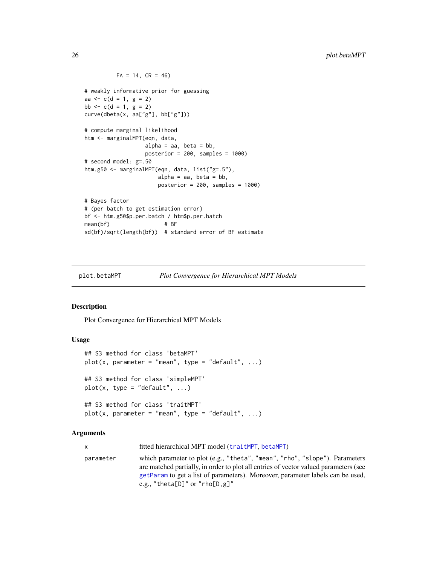#### $FA = 14$ ,  $CR = 46$

```
# weakly informative prior for guessing
aa \leq c(d = 1, g = 2)bb \leq -c(d = 1, g = 2)curve(dbeta(x, aa["g"], bb["g"]))
# compute marginal likelihood
htm <- marginalMPT(eqn, data,
                  alpha = aa, beta = bb,
                  posterior = 200, samples = 1000)
# second model: g=.50
htm.g50 <- marginalMPT(eqn, data, list("g=.5"),
                      alpha = aa, beta = bb,
                      posterior = 200, samples = 1000)
# Bayes factor
# (per batch to get estimation error)
bf <- htm.g50$p.per.batch / htm$p.per.batch
mean(bf) # BF
sd(bf)/sqrt(length(bf)) # standard error of BF estimate
```
plot.betaMPT *Plot Convergence for Hierarchical MPT Models*

#### <span id="page-25-1"></span>Description

Plot Convergence for Hierarchical MPT Models

#### Usage

```
## S3 method for class 'betaMPT'
plot(x, parameter = "mean", type = "default", ...)## S3 method for class 'simpleMPT'
plot(x, type = "default", ...)## S3 method for class 'traitMPT'
plot(x, parameter = "mean", type = "default", ...)
```

| x         | fitted hierarchical MPT model (traitMPT, betaMPT)                                                                                                                                                                                                                                       |
|-----------|-----------------------------------------------------------------------------------------------------------------------------------------------------------------------------------------------------------------------------------------------------------------------------------------|
| parameter | which parameter to plot (e.g., "theta", "mean", "rho", "slope"). Parameters<br>are matched partially, in order to plot all entries of vector valued parameters (see<br>getParam to get a list of parameters). Moreover, parameter labels can be used,<br>e.g., "theta[D]" or "rho[D,g]" |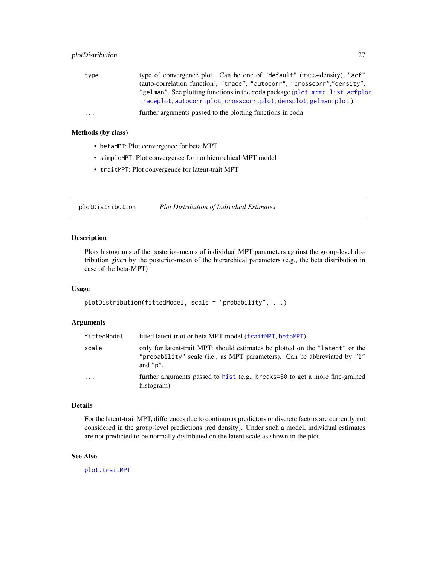<span id="page-26-0"></span>

| type of convergence plot. Can be one of "default" (trace+density), "acf"       |
|--------------------------------------------------------------------------------|
| (auto-correlation function), "trace", "autocorr", "crosscorr", "density",      |
| "gelman". See plotting functions in the coda package (plot.mcmc.list, acfplot, |
| traceplot, autocorr.plot, crosscorr.plot, densplot, gelman.plot).              |
| further arguments passed to the plotting functions in coda                     |
|                                                                                |

#### Methods (by class)

- betaMPT: Plot convergence for beta MPT
- simpleMPT: Plot convergence for nonhierarchical MPT model
- traitMPT: Plot convergence for latent-trait MPT

<span id="page-26-1"></span>plotDistribution *Plot Distribution of Individual Estimates*

#### Description

Plots histograms of the posterior-means of individual MPT parameters against the group-level distribution given by the posterior-mean of the hierarchical parameters (e.g., the beta distribution in case of the beta-MPT)

#### Usage

```
plotDistribution(fittedModel, scale = "probability", ...)
```
#### Arguments

| fittedModel | fitted latent-trait or beta MPT model (traitMPT, betaMPT)                                                                                                                |  |
|-------------|--------------------------------------------------------------------------------------------------------------------------------------------------------------------------|--|
| scale       | only for latent-trait MPT: should estimates be plotted on the "latent" or the<br>"probability" scale (i.e., as MPT parameters). Can be abbreviated by "1"<br>and $"p"$ . |  |
| $\ddotsc$   | further arguments passed to hist (e.g., breaks=50 to get a more fine-grained<br>histogram)                                                                               |  |

#### Details

For the latent-trait MPT, differences due to continuous predictors or discrete factors are currently not considered in the group-level predictions (red density). Under such a model, individual estimates are not predicted to be normally distributed on the latent scale as shown in the plot.

#### See Also

[plot.traitMPT](#page-25-1)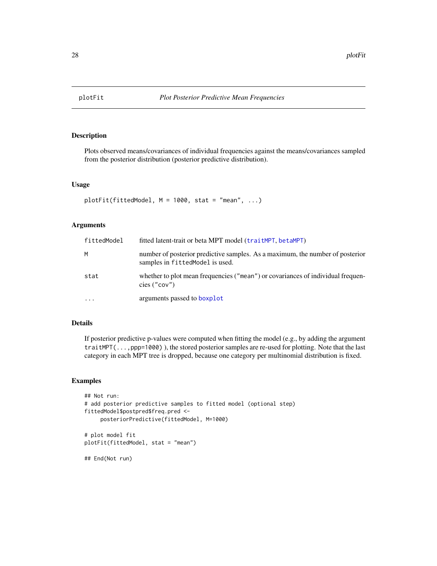<span id="page-27-0"></span>

Plots observed means/covariances of individual frequencies against the means/covariances sampled from the posterior distribution (posterior predictive distribution).

#### Usage

```
plotFit(fittedModel, M = 1000, stat = "mean", ...)
```
#### Arguments

| fittedModel | fitted latent-trait or beta MPT model (traitMPT, betaMPT)<br>number of posterior predictive samples. As a maximum, the number of posterior<br>samples in fittedModel is used. |  |
|-------------|-------------------------------------------------------------------------------------------------------------------------------------------------------------------------------|--|
| м           |                                                                                                                                                                               |  |
| stat        | whether to plot mean frequencies ("mean") or covariances of individual frequen-<br>cies $("cov")$                                                                             |  |
| $\ddotsc$   | arguments passed to boxplot                                                                                                                                                   |  |

#### Details

If posterior predictive p-values were computed when fitting the model (e.g., by adding the argument traitMPT(..., ppp=1000)), the stored posterior samples are re-used for plotting. Note that the last category in each MPT tree is dropped, because one category per multinomial distribution is fixed.

```
## Not run:
# add posterior predictive samples to fitted model (optional step)
fittedModel$postpred$freq.pred <-
     posteriorPredictive(fittedModel, M=1000)
# plot model fit
plotFit(fittedModel, stat = "mean")
## End(Not run)
```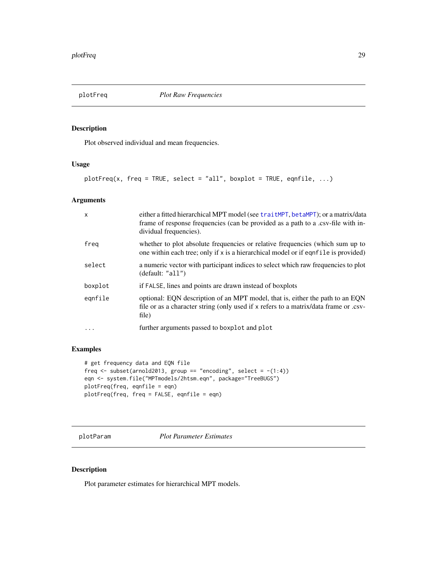<span id="page-28-1"></span><span id="page-28-0"></span>

Plot observed individual and mean frequencies.

#### Usage

plotFreq(x, freq = TRUE, select = "all", boxplot = TRUE, eqnfile,  $\dots$ )

#### Arguments

| $\mathsf{x}$ | either a fitted hierarchical MPT model (see traitMPT, betaMPT); or a matrix/data<br>frame of response frequencies (can be provided as a path to a .csv-file with in-<br>dividual frequencies). |  |
|--------------|------------------------------------------------------------------------------------------------------------------------------------------------------------------------------------------------|--|
| freg         | whether to plot absolute frequencies or relative frequencies (which sum up to<br>one within each tree; only if x is a hierarchical model or if eqnfile is provided)                            |  |
| select       | a numeric vector with participant indices to select which raw frequencies to plot<br>(default: "all")                                                                                          |  |
| boxplot      | if FALSE, lines and points are drawn instead of boxplots                                                                                                                                       |  |
| eqnfile      | optional: EQN description of an MPT model, that is, either the path to an EQN<br>file or as a character string (only used if x refers to a matrix/data frame or .csv-<br>file)                 |  |
| $\cdots$     | further arguments passed to boxplot and plot                                                                                                                                                   |  |

#### Examples

```
# get frequency data and EQN file
freq \le subset(arnold2013, group == "encoding", select = -(1:4))
eqn <- system.file("MPTmodels/2htsm.eqn", package="TreeBUGS")
plotFreq(freq, eqnfile = eqn)
plotFreq(freq, freq = FALSE, eqnfile = eqn)
```
plotParam *Plot Parameter Estimates*

#### Description

Plot parameter estimates for hierarchical MPT models.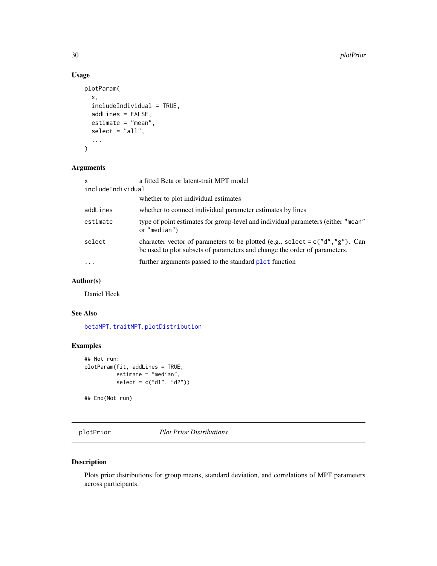#### Usage

```
plotParam(
  x,
  includeIndividual = TRUE,
  addLines = FALSE,
  estimate = "mean",
  select = "all",...
\mathcal{L}
```
#### Arguments

| $\mathsf{x}$      | a fitted Beta or latent-trait MPT model                                                                                                                        |  |
|-------------------|----------------------------------------------------------------------------------------------------------------------------------------------------------------|--|
| includeIndividual |                                                                                                                                                                |  |
|                   | whether to plot individual estimates                                                                                                                           |  |
| addLines          | whether to connect individual parameter estimates by lines                                                                                                     |  |
| estimate          | type of point estimates for group-level and individual parameters (either "mean"<br>or "median")                                                               |  |
| select            | character vector of parameters to be plotted (e.g., select = $c("d", "g")$ ). Can<br>be used to plot subsets of parameters and change the order of parameters. |  |
| $\cdot$           | further arguments passed to the standard plot function                                                                                                         |  |

#### Author(s)

Daniel Heck

#### See Also

[betaMPT](#page-6-1), [traitMPT](#page-43-1), [plotDistribution](#page-26-1)

#### Examples

```
## Not run:
plotParam(fit, addLines = TRUE,
         estimate = "median",
         select = c("d1", "d2"))
```
## End(Not run)

<span id="page-29-1"></span>plotPrior *Plot Prior Distributions*

#### Description

Plots prior distributions for group means, standard deviation, and correlations of MPT parameters across participants.

<span id="page-29-0"></span>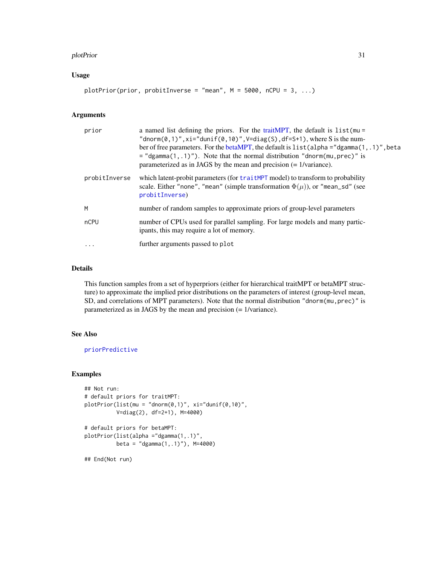#### <span id="page-30-0"></span>plotPrior 31

#### Usage

plotPrior(prior, probitInverse = "mean", M = 5000, nCPU = 3, ...)

#### Arguments

| prior         | a named list defining the priors. For the trait MPT, the default is $list$ (mu =<br>"dnorm(0,1)", xi="dunif(0,10)", $V=diag(S)$ , df=S+1), where S is the num-<br>ber of free parameters. For the betaMPT, the default is list (alpha = "dgamma $(1, .1)$ ", beta<br>$=$ "dgamma(1,.1)"). Note that the normal distribution "dnorm(mu, prec)" is<br>parameterized as in JAGS by the mean and precision $(= 1/\text{variance})$ . |
|---------------|----------------------------------------------------------------------------------------------------------------------------------------------------------------------------------------------------------------------------------------------------------------------------------------------------------------------------------------------------------------------------------------------------------------------------------|
| probitInverse | which latent-probit parameters (for trait MPT model) to transform to probability<br>scale. Either "none", "mean" (simple transformation $\Phi(\mu)$ ), or "mean_sd" (see<br>probitInverse)                                                                                                                                                                                                                                       |
| M             | number of random samples to approximate priors of group-level parameters                                                                                                                                                                                                                                                                                                                                                         |
| nCPU          | number of CPUs used for parallel sampling. For large models and many partic-<br>ipants, this may require a lot of memory.                                                                                                                                                                                                                                                                                                        |
| $\cdot$       | further arguments passed to plot                                                                                                                                                                                                                                                                                                                                                                                                 |

#### Details

This function samples from a set of hyperpriors (either for hierarchical traitMPT or betaMPT structure) to approximate the implied prior distributions on the parameters of interest (group-level mean, SD, and correlations of MPT parameters). Note that the normal distribution "dnorm(mu, prec)" is parameterized as in JAGS by the mean and precision (= 1/variance).

#### See Also

[priorPredictive](#page-33-1)

```
## Not run:
# default priors for traitMPT:
plotPrior(list(mu = "dnorm(0,1)", xii="dunif(0,10)",V=diag(2), df=2+1), M=4000)
# default priors for betaMPT:
plotPrior(list(alpha ="dgamma(1,.1)",
         beta = "dgamma(1,.1)"), M=4000)
## End(Not run)
```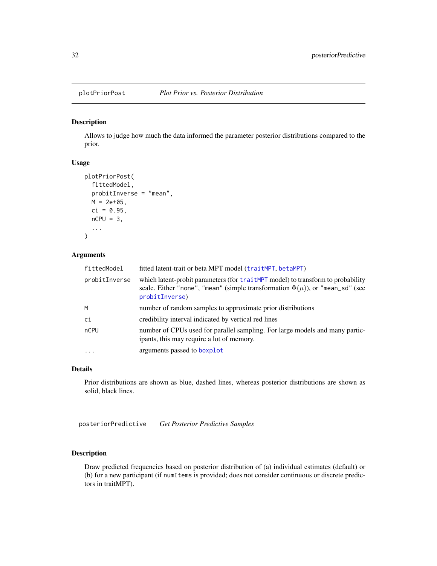<span id="page-31-0"></span>

Allows to judge how much the data informed the parameter posterior distributions compared to the prior.

#### Usage

```
plotPriorPost(
  fittedModel,
  probitInverse = "mean",
 M = 2e+05,
  ci = 0.95,nCPU = 3,
  ...
)
```
#### Arguments

| fittedModel   | fitted latent-trait or beta MPT model (traitMPT, betaMPT)                                                                                                                                 |  |
|---------------|-------------------------------------------------------------------------------------------------------------------------------------------------------------------------------------------|--|
| probitInverse | which latent-probit parameters (for traitMPT model) to transform to probability<br>scale. Either "none", "mean" (simple transformation $\Phi(\mu)$ ), or "mean_sd" (see<br>probitInverse) |  |
| M             | number of random samples to approximate prior distributions                                                                                                                               |  |
| ci            | credibility interval indicated by vertical red lines                                                                                                                                      |  |
| nCPU          | number of CPUs used for parallel sampling. For large models and many partic-<br>ipants, this may require a lot of memory.                                                                 |  |
| $\cdot$       | arguments passed to boxplot                                                                                                                                                               |  |

#### Details

Prior distributions are shown as blue, dashed lines, whereas posterior distributions are shown as solid, black lines.

<span id="page-31-1"></span>posteriorPredictive *Get Posterior Predictive Samples*

#### Description

Draw predicted frequencies based on posterior distribution of (a) individual estimates (default) or (b) for a new participant (if numItems is provided; does not consider continuous or discrete predictors in traitMPT).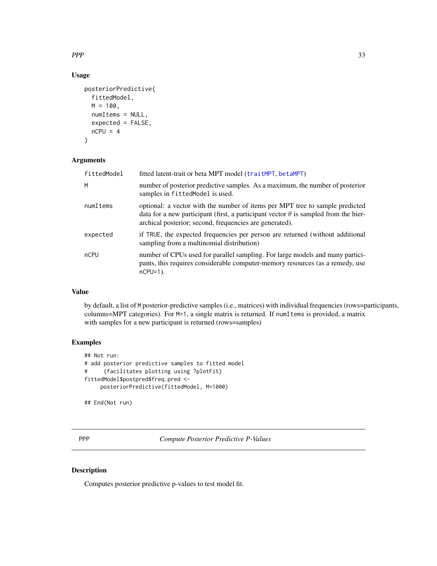<span id="page-32-0"></span> $PPP$  33

#### Usage

```
posteriorPredictive(
  fittedModel,
 M = 100,numItems = NULL,
 expected = FALSE,nCPU = 4)
```
#### Arguments

| fittedModel | fitted latent-trait or beta MPT model (traitMPT, betaMPT)                                                                                                                                                                             |  |
|-------------|---------------------------------------------------------------------------------------------------------------------------------------------------------------------------------------------------------------------------------------|--|
| M           | number of posterior predictive samples. As a maximum, the number of posterior<br>samples in fittedModel is used.                                                                                                                      |  |
| numItems    | optional: a vector with the number of items per MPT tree to sample predicted<br>data for a new participant (first, a participant vector $\theta$ is sampled from the hier-<br>archical posterior; second, frequencies are generated). |  |
| expected    | if TRUE, the expected frequencies per person are returned (without additional<br>sampling from a multinomial distribution)                                                                                                            |  |
| nCPU        | number of CPUs used for parallel sampling. For large models and many partici-<br>pants, this requires considerable computer-memory resources (as a remedy, use<br>$nCPU=1$ ).                                                         |  |

#### Value

by default, a list of M posterior-predictive samples (i.e., matrices) with individual frequencies (rows=participants, columns=MPT categories). For M=1, a single matrix is returned. If numItems is provided, a matrix with samples for a new participant is returned (rows=samples)

#### Examples

```
## Not run:
# add posterior predictive samples to fitted model
# (facilitates plotting using ?plotFit)
fittedModel$postpred$freq.pred <-
    posteriorPredictive(fittedModel, M=1000)
```
## End(Not run)

PPP *Compute Posterior Predictive P-Values*

#### Description

Computes posterior predictive p-values to test model fit.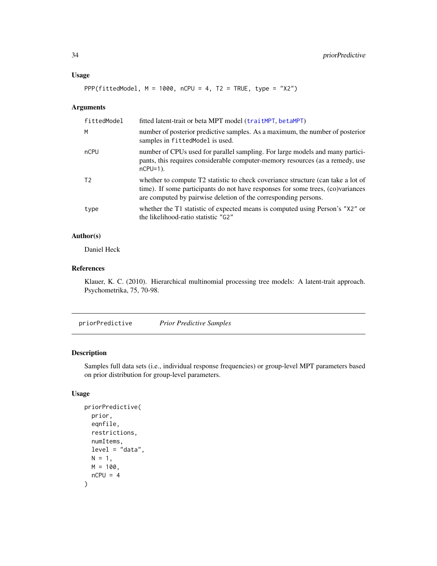#### <span id="page-33-0"></span>Usage

```
PPP(fittedModel, M = 1000, nCPU = 4, T2 = TRUE, type = "X2")
```
#### Arguments

| fittedModel    | fitted latent-trait or beta MPT model (traitMPT, betaMPT)                                                                                                                                                                              |  |
|----------------|----------------------------------------------------------------------------------------------------------------------------------------------------------------------------------------------------------------------------------------|--|
| M              | number of posterior predictive samples. As a maximum, the number of posterior<br>samples in fittedModel is used.                                                                                                                       |  |
| nCPU           | number of CPUs used for parallel sampling. For large models and many partici-<br>pants, this requires considerable computer-memory resources (as a remedy, use<br>$nCPU=1$ ).                                                          |  |
| T <sub>2</sub> | whether to compute T2 statistic to check coveriance structure (can take a lot of<br>time). If some participants do not have responses for some trees, (co)variances<br>are computed by pairwise deletion of the corresponding persons. |  |
| type           | whether the T1 statistic of expected means is computed using Person's "X2" or<br>the likelihood-ratio statistic "G2"                                                                                                                   |  |

#### Author(s)

Daniel Heck

#### References

Klauer, K. C. (2010). Hierarchical multinomial processing tree models: A latent-trait approach. Psychometrika, 75, 70-98.

<span id="page-33-1"></span>priorPredictive *Prior Predictive Samples*

#### Description

Samples full data sets (i.e., individual response frequencies) or group-level MPT parameters based on prior distribution for group-level parameters.

#### Usage

```
priorPredictive(
 prior,
 eqnfile,
 restrictions,
 numItems,
 level = "data",N = 1,
 M = 100,nCPU = 4)
```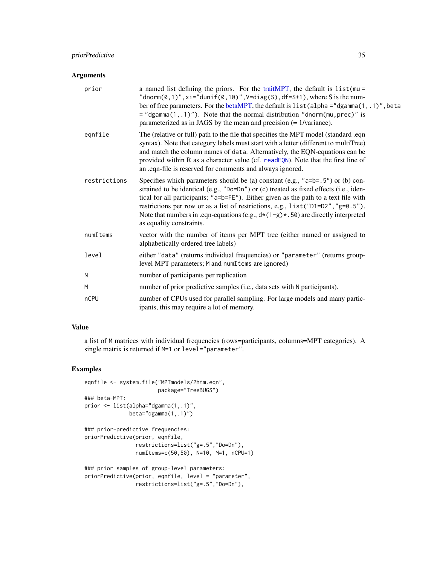#### <span id="page-34-0"></span>priorPredictive 35

#### Arguments

| prior        | a named list defining the priors. For the trait MPT, the default is $list$ (mu =<br>"dnorm $(0,1)$ ", xi="dunif $(0,10)$ ", V=diag $(S)$ , df=S+1), where S is the num-<br>ber of free parameters. For the betaMPT, the default is list (alpha = "dgamma(1, .1)", beta<br>$=$ "dgamma(1,.1)"). Note that the normal distribution "dnorm(mu, prec)" is<br>parameterized as in JAGS by the mean and precision $(= 1/\text{variance})$ .                                 |
|--------------|-----------------------------------------------------------------------------------------------------------------------------------------------------------------------------------------------------------------------------------------------------------------------------------------------------------------------------------------------------------------------------------------------------------------------------------------------------------------------|
| eqnfile      | The (relative or full) path to the file that specifies the MPT model (standard .eqn<br>syntax). Note that category labels must start with a letter (different to multiTree)<br>and match the column names of data. Alternatively, the EQN-equations can be<br>provided within R as a character value (cf. readEQN). Note that the first line of<br>an .eqn-file is reserved for comments and always ignored.                                                          |
| restrictions | Specifies which parameters should be (a) constant (e.g., "a=b=.5") or (b) con-<br>strained to be identical (e.g., "Do=Dn") or (c) treated as fixed effects (i.e., iden-<br>tical for all participants; "a=b=FE"). Either given as the path to a text file with<br>restrictions per row or as a list of restrictions, e.g., list ("D1=D2", "g=0.5").<br>Note that numbers in .eqn-equations (e.g., $d*(1-g)*(50)$ are directly interpreted<br>as equality constraints. |
| numItems     | vector with the number of items per MPT tree (either named or assigned to<br>alphabetically ordered tree labels)                                                                                                                                                                                                                                                                                                                                                      |
| level        | either "data" (returns individual frequencies) or "parameter" (returns group-<br>level MPT parameters; M and numItems are ignored)                                                                                                                                                                                                                                                                                                                                    |
| N            | number of participants per replication                                                                                                                                                                                                                                                                                                                                                                                                                                |
| M            | number of prior predictive samples (i.e., data sets with N participants).                                                                                                                                                                                                                                                                                                                                                                                             |
| nCPU         | number of CPUs used for parallel sampling. For large models and many partic-<br>ipants, this may require a lot of memory.                                                                                                                                                                                                                                                                                                                                             |

#### Value

a list of M matrices with individual frequencies (rows=participants, columns=MPT categories). A single matrix is returned if M=1 or level="parameter".

```
eqnfile <- system.file("MPTmodels/2htm.eqn",
                      package="TreeBUGS")
### beta-MPT:
prior <- list(alpha="dgamma(1,.1)",
             beta="dgamma(1,.1)")
### prior-predictive frequencies:
priorPredictive(prior, eqnfile,
                restrictions=list("g=.5","Do=Dn"),
                numItems=c(50,50), N=10, M=1, nCPU=1)
### prior samples of group-level parameters:
priorPredictive(prior, eqnfile, level = "parameter",
                restrictions=list("g=.5","Do=Dn"),
```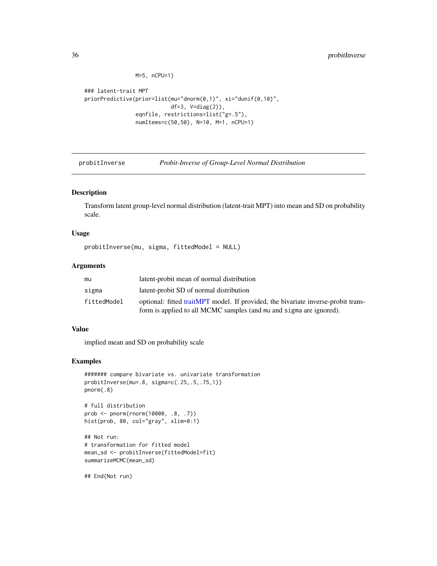```
M=5, nCPU=1)
```

```
### latent-trait MPT
priorPredictive(prior=list(mu="dnorm(0,1)", xi="dunif(0,10)",
                           df=3, V=diag(2)),
                eqnfile, restrictions=list("g=.5"),
                numItems=c(50,50), N=10, M=1, nCPU=1)
```
<span id="page-35-1"></span>

probitInverse *Probit-Inverse of Group-Level Normal Distribution*

#### Description

Transform latent group-level normal distribution (latent-trait MPT) into mean and SD on probability scale.

#### Usage

probitInverse(mu, sigma, fittedModel = NULL)

#### Arguments

| mu          | latent-probit mean of normal distribution                                         |  |
|-------------|-----------------------------------------------------------------------------------|--|
| sigma       | latent-probit SD of normal distribution                                           |  |
| fittedModel | optional: fitted traitMPT model. If provided, the bivariate inverse-probit trans- |  |
|             | form is applied to all MCMC samples (and mu and sigma are ignored).               |  |

#### Value

implied mean and SD on probability scale

#### Examples

```
####### compare bivariate vs. univariate transformation
probitInverse(mu=.8, sigma=c(.25,.5,.75,1))
pnorm(.8)
```
# full distribution prob <- pnorm(rnorm(10000, .8, .7)) hist(prob, 80, col="gray", xlim=0:1)

```
## Not run:
# transformation for fitted model
mean_sd <- probitInverse(fittedModel=fit)
summarizeMCMC(mean_sd)
```
## End(Not run)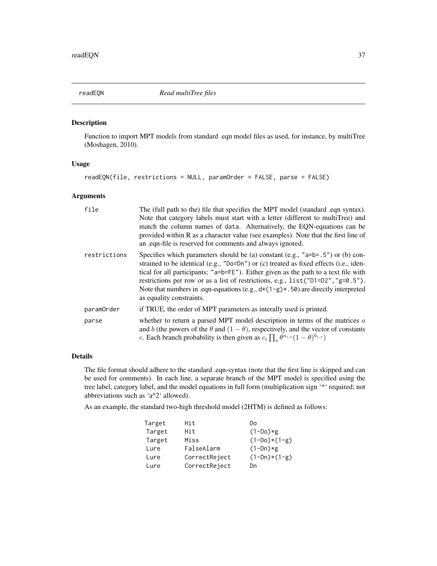<span id="page-36-1"></span><span id="page-36-0"></span>

Function to import MPT models from standard .eqn model files as used, for instance, by multiTree (Moshagen, 2010).

#### Usage

readEQN(file, restrictions = NULL, paramOrder = FALSE, parse = FALSE)

#### Arguments

| file         | The (full path to the) file that specifies the MPT model (standard .eqn syntax).<br>Note that category labels must start with a letter (different to multiTree) and<br>match the column names of data. Alternatively, the EQN-equations can be<br>provided within R as a character value (see examples). Note that the first line of<br>an eqn-file is reserved for comments and always ignored.                                                                               |  |
|--------------|--------------------------------------------------------------------------------------------------------------------------------------------------------------------------------------------------------------------------------------------------------------------------------------------------------------------------------------------------------------------------------------------------------------------------------------------------------------------------------|--|
| restrictions | Specifies which parameters should be (a) constant (e.g., " $a=b=0.5$ ") or (b) con-<br>strained to be identical (e.g., $"Do=On"$ ) or (c) treated as fixed effects (i.e., iden-<br>tical for all participants; "a=b=FE"). Either given as the path to a text file with<br>restrictions per row or as a list of restrictions, e.g., $list("D1=D2", "g=0.5").$<br>Note that numbers in .eqn-equations (e.g., $d*(1-g)*(50)$ are directly interpreted<br>as equality constraints. |  |
| paramOrder   | if TRUE, the order of MPT parameters as interally used is printed.                                                                                                                                                                                                                                                                                                                                                                                                             |  |
| parse        | whether to return a parsed MPT model description in terms of the matrices $a$<br>and b (the powers of the $\theta$ and $(1 - \theta)$ , respectively, and the vector of constants<br>c. Each branch probability is then given as $c_i \prod_s \theta^{a_{i,s}} (1-\theta)^{b_{i,s}}$                                                                                                                                                                                           |  |

#### Details

The file format should adhere to the standard .eqn-syntax (note that the first line is skipped and can be used for comments). In each line, a separate branch of the MPT model is specified using the tree label, category label, and the model equations in full form (multiplication sign '\*' required; not abbreviations such as 'a^2' allowed).

As an example, the standard two-high threshold model (2HTM) is defined as follows:

| Target | Hit           | Dο             |
|--------|---------------|----------------|
| Target | Hit           | $(1-Do)*g$     |
| Target | Miss          | $(1-Do)*(1-g)$ |
| Lure   | FalseAlarm    | $(1-Dn)*g$     |
| Lure   | CorrectReject | $(1-Dn)*(1-g)$ |
| Lure   | CorrectReject | Dn             |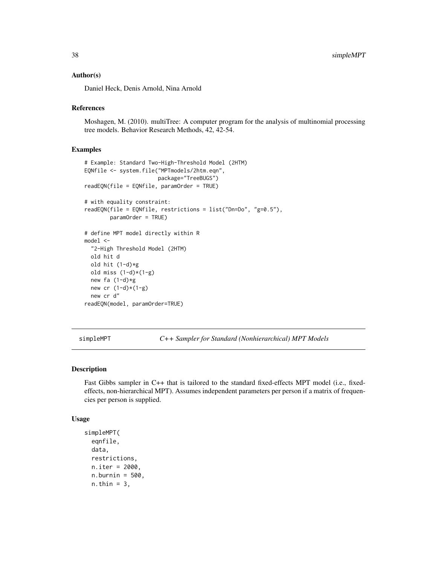#### <span id="page-37-0"></span>Author(s)

Daniel Heck, Denis Arnold, Nina Arnold

#### References

Moshagen, M. (2010). multiTree: A computer program for the analysis of multinomial processing tree models. Behavior Research Methods, 42, 42-54.

#### Examples

```
# Example: Standard Two-High-Threshold Model (2HTM)
EQNfile <- system.file("MPTmodels/2htm.eqn",
                      package="TreeBUGS")
readEQN(file = EQNfile, paramOrder = TRUE)
# with equality constraint:
readEQN(file = EQNfile, restrictions = list("Dn=Do", "g=0.5"),
       paramOrder = TRUE)
# define MPT model directly within R
model <-
 "2-High Threshold Model (2HTM)
 old hit d
 old hit (1-d)*g
 old miss (1-d)*(1-g)new fa (1-d)*gnew cr (1-d)*(1-g)new cr d"
readEQN(model, paramOrder=TRUE)
```
<span id="page-37-1"></span>simpleMPT *C++ Sampler for Standard (Nonhierarchical) MPT Models*

#### Description

Fast Gibbs sampler in C++ that is tailored to the standard fixed-effects MPT model (i.e., fixedeffects, non-hierarchical MPT). Assumes independent parameters per person if a matrix of frequencies per person is supplied.

#### Usage

```
simpleMPT(
  eqnfile,
 data,
  restrictions,
 n.iter = 2000,
  n.burnin = 500,
  n.thin = 3,
```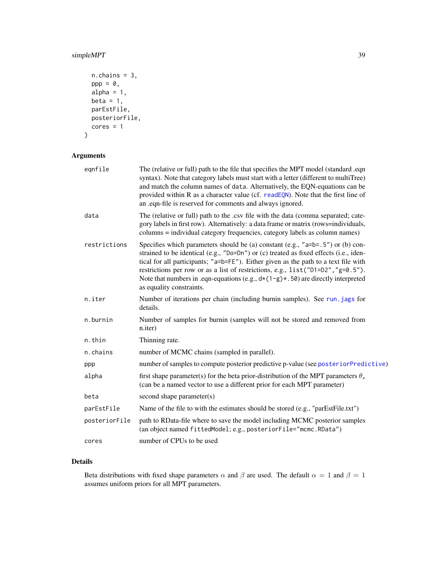#### <span id="page-38-0"></span>simpleMPT 39

```
n.chains = 3,
  pp = 0,
  alpha = 1,
  beta = 1,
  parEstFile,
  posteriorFile,
  cores = 1\mathcal{L}
```
#### Arguments

| eqnfile       | The (relative or full) path to the file that specifies the MPT model (standard .eqn<br>syntax). Note that category labels must start with a letter (different to multiTree)<br>and match the column names of data. Alternatively, the EQN-equations can be<br>provided within R as a character value (cf. readEQN). Note that the first line of<br>an .eqn-file is reserved for comments and always ignored.                                                               |
|---------------|----------------------------------------------------------------------------------------------------------------------------------------------------------------------------------------------------------------------------------------------------------------------------------------------------------------------------------------------------------------------------------------------------------------------------------------------------------------------------|
| data          | The (relative or full) path to the .csv file with the data (comma separated; cate-<br>gory labels in first row). Alternatively: a data frame or matrix (rows=individuals,<br>columns = individual category frequencies, category labels as column names)                                                                                                                                                                                                                   |
| restrictions  | Specifies which parameters should be (a) constant (e.g., " $a=b=0.5$ ") or (b) con-<br>strained to be identical (e.g., "Do=Dn") or (c) treated as fixed effects (i.e., iden-<br>tical for all participants; "a=b=FE"). Either given as the path to a text file with<br>restrictions per row or as a list of restrictions, e.g., list ("D1=D2", "g=0.5").<br>Note that numbers in .eqn-equations (e.g., $d*(1-g)*(50)$ are directly interpreted<br>as equality constraints. |
| n.iter        | Number of iterations per chain (including burnin samples). See run. jags for<br>details.                                                                                                                                                                                                                                                                                                                                                                                   |
| n.burnin      | Number of samples for burnin (samples will not be stored and removed from<br>n.iter)                                                                                                                                                                                                                                                                                                                                                                                       |
| n.thin        | Thinning rate.                                                                                                                                                                                                                                                                                                                                                                                                                                                             |
| n.chains      | number of MCMC chains (sampled in parallel).                                                                                                                                                                                                                                                                                                                                                                                                                               |
| ppp           | number of samples to compute posterior predictive p-value (see posterior Predictive)                                                                                                                                                                                                                                                                                                                                                                                       |
| alpha         | first shape parameter(s) for the beta prior-distribution of the MPT parameters $\theta_s$<br>(can be a named vector to use a different prior for each MPT parameter)                                                                                                                                                                                                                                                                                                       |
| beta          | second shape parameter(s)                                                                                                                                                                                                                                                                                                                                                                                                                                                  |
| parEstFile    | Name of the file to with the estimates should be stored (e.g., "parEstFile.txt")                                                                                                                                                                                                                                                                                                                                                                                           |
| posteriorFile | path to RData-file where to save the model including MCMC posterior samples<br>(an object named fittedModel; e.g., posteriorFile="mcmc.RData")                                                                                                                                                                                                                                                                                                                             |
| cores         | number of CPUs to be used                                                                                                                                                                                                                                                                                                                                                                                                                                                  |

#### Details

Beta distributions with fixed shape parameters  $\alpha$  and  $\beta$  are used. The default  $\alpha = 1$  and  $\beta = 1$ assumes uniform priors for all MPT parameters.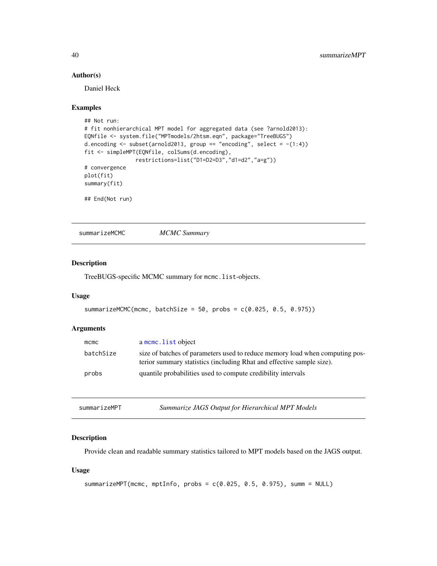#### Author(s)

Daniel Heck

#### Examples

```
## Not run:
# fit nonhierarchical MPT model for aggregated data (see ?arnold2013):
EQNfile <- system.file("MPTmodels/2htsm.eqn", package="TreeBUGS")
d.encoding \le subset(arnold2013, group == "encoding", select = -(1:4))
fit <- simpleMPT(EQNfile, colSums(d.encoding),
               restrictions=list("D1=D2=D3","d1=d2","a=g"))
# convergence
plot(fit)
summary(fit)
## End(Not run)
```
summarizeMCMC *MCMC Summary*

#### Description

TreeBUGS-specific MCMC summary for mcmc.list-objects.

#### Usage

```
summarizeMCMC(mcmc, batchSize = 50, probs = c(0.025, 0.5, 0.975))
```
#### Arguments

| mcmc      | a mcmc. list object                                                                                                                                   |
|-----------|-------------------------------------------------------------------------------------------------------------------------------------------------------|
| batchSize | size of batches of parameters used to reduce memory load when computing pos-<br>terior summary statistics (including Rhat and effective sample size). |
| probs     | quantile probabilities used to compute credibility intervals                                                                                          |

| Summarize JAGS Output for Hierarchical MPT Models<br>summarizeMPT |  |
|-------------------------------------------------------------------|--|
|-------------------------------------------------------------------|--|

#### Description

Provide clean and readable summary statistics tailored to MPT models based on the JAGS output.

#### Usage

```
summarizeMPT(mcmc, mptInfo, probs = c(0.025, 0.5, 0.975), summ = NULL)
```
<span id="page-39-0"></span>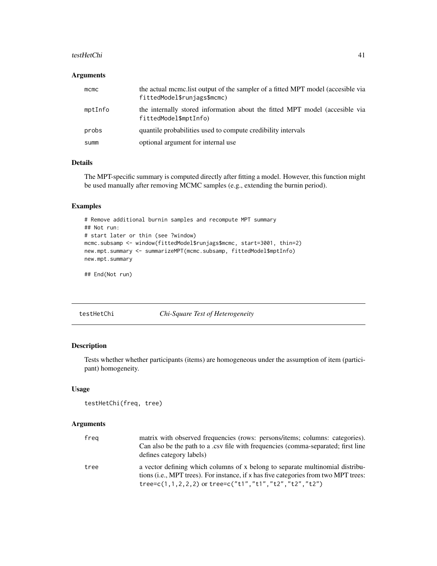#### <span id="page-40-0"></span>testHetChi 41

#### Arguments

| $m$ cmc | the actual mcmc.list output of the sampler of a fitted MPT model (accesible via<br>fittedModel\$runjags\$mcmc) |
|---------|----------------------------------------------------------------------------------------------------------------|
| mptInfo | the internally stored information about the fitted MPT model (accesible via<br>fittedModel\$mptInfo)           |
| probs   | quantile probabilities used to compute credibility intervals                                                   |
| summ    | optional argument for internal use                                                                             |

#### Details

The MPT-specific summary is computed directly after fitting a model. However, this function might be used manually after removing MCMC samples (e.g., extending the burnin period).

#### Examples

```
# Remove additional burnin samples and recompute MPT summary
## Not run:
# start later or thin (see ?window)
mcmc.subsamp <- window(fittedModel$runjags$mcmc, start=3001, thin=2)
new.mpt.summary <- summarizeMPT(mcmc.subsamp, fittedModel$mptInfo)
new.mpt.summary
```
## End(Not run)

<span id="page-40-1"></span>testHetChi *Chi-Square Test of Heterogeneity*

#### Description

Tests whether whether participants (items) are homogeneous under the assumption of item (participant) homogeneity.

#### Usage

```
testHetChi(freq, tree)
```

| freg | matrix with observed frequencies (rows: persons/items; columns: categories).<br>Can also be the path to a .csv file with frequencies (comma-separated; first line<br>defines category labels)                                           |
|------|-----------------------------------------------------------------------------------------------------------------------------------------------------------------------------------------------------------------------------------------|
| tree | a vector defining which columns of x belong to separate multinomial distribu-<br>tions (i.e., MPT trees). For instance, if x has five categories from two MPT trees:<br>tree= $c(1,1,2,2,2)$ or tree= $c("t1", "t1", "t2", "t2", "t2")$ |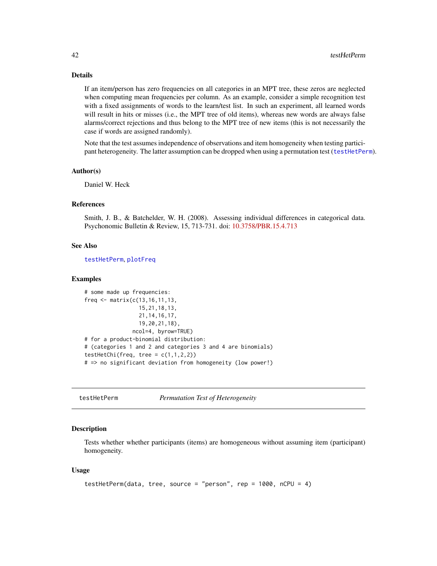#### <span id="page-41-0"></span>Details

If an item/person has zero frequencies on all categories in an MPT tree, these zeros are neglected when computing mean frequencies per column. As an example, consider a simple recognition test with a fixed assignments of words to the learn/test list. In such an experiment, all learned words will result in hits or misses (i.e., the MPT tree of old items), whereas new words are always false alarms/correct rejections and thus belong to the MPT tree of new items (this is not necessarily the case if words are assigned randomly).

Note that the test assumes independence of observations and item homogeneity when testing participant heterogeneity. The latter assumption can be dropped when using a permutation test ([testHetPerm](#page-41-1)).

#### Author(s)

Daniel W. Heck

#### References

Smith, J. B., & Batchelder, W. H. (2008). Assessing individual differences in categorical data. Psychonomic Bulletin & Review, 15, 713-731. doi: [10.3758/PBR.15.4.713](https://doi.org/10.3758/PBR.15.4.713)

#### See Also

[testHetPerm](#page-41-1), [plotFreq](#page-28-1)

#### Examples

```
# some made up frequencies:
freq \leq matrix(c(13, 16, 11, 13,15,21,18,13,
                 21,14,16,17,
                 19,20,21,18),
               ncol=4, byrow=TRUE)
# for a product-binomial distribution:
# (categories 1 and 2 and categories 3 and 4 are binomials)
testHetChi(freq, tree = c(1,1,2,2))
# => no significant deviation from homogeneity (low power!)
```
<span id="page-41-1"></span>testHetPerm *Permutation Test of Heterogeneity*

#### Description

Tests whether whether participants (items) are homogeneous without assuming item (participant) homogeneity.

#### Usage

```
testHetPerm(data, tree, source = "person", rep = 1000, nCPU = 4)
```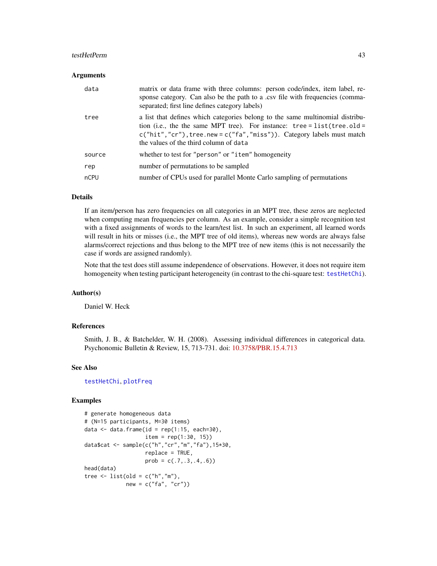#### <span id="page-42-0"></span>testHetPerm 43

#### **Arguments**

| data   | matrix or data frame with three columns: person code/index, item label, re-<br>sponse category. Can also be the path to a .csv file with frequencies (comma-<br>separated; first line defines category labels)                                                                          |
|--------|-----------------------------------------------------------------------------------------------------------------------------------------------------------------------------------------------------------------------------------------------------------------------------------------|
| tree   | a list that defines which categories belong to the same multinomial distribu-<br>tion (i.e., the the same MPT tree). For instance: $tree = list(tree. old =$<br>$c("hit", "cr")$ , tree.new = $c("fa", "miss")$ ). Category labels must match<br>the values of the third column of data |
| source | whether to test for "person" or "item" homogeneity                                                                                                                                                                                                                                      |
| rep    | number of permutations to be sampled                                                                                                                                                                                                                                                    |
| nCPU   | number of CPUs used for parallel Monte Carlo sampling of permutations                                                                                                                                                                                                                   |

#### Details

If an item/person has zero frequencies on all categories in an MPT tree, these zeros are neglected when computing mean frequencies per column. As an example, consider a simple recognition test with a fixed assignments of words to the learn/test list. In such an experiment, all learned words will result in hits or misses (i.e., the MPT tree of old items), whereas new words are always false alarms/correct rejections and thus belong to the MPT tree of new items (this is not necessarily the case if words are assigned randomly).

Note that the test does still assume independence of observations. However, it does not require item homogeneity when testing participant heterogeneity (in contrast to the chi-square test: [testHetChi](#page-40-1)).

#### Author(s)

Daniel W. Heck

#### References

Smith, J. B., & Batchelder, W. H. (2008). Assessing individual differences in categorical data. Psychonomic Bulletin & Review, 15, 713-731. doi: [10.3758/PBR.15.4.713](https://doi.org/10.3758/PBR.15.4.713)

#### See Also

[testHetChi](#page-40-1), [plotFreq](#page-28-1)

```
# generate homogeneous data
# (N=15 participants, M=30 items)
data \leq data.frame(id = rep(1:15, each=30),
                  item = rep(1:30, 15))data$cat <- sample(c("h","cr","m","fa"),15*30,
                  replace = TRUE,
                  prob = c(.7,.3,.4,.6)head(data)
tree \le list(old = c("h","m"),
            new = c("fa", "cr")
```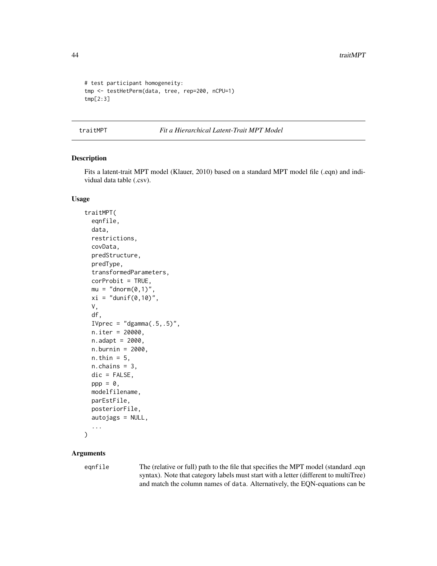```
# test participant homogeneity:
tmp <- testHetPerm(data, tree, rep=200, nCPU=1)
tmp[2:3]
```
<span id="page-43-1"></span>traitMPT *Fit a Hierarchical Latent-Trait MPT Model*

#### Description

Fits a latent-trait MPT model (Klauer, 2010) based on a standard MPT model file (.eqn) and individual data table (.csv).

#### Usage

```
traitMPT(
  eqnfile,
  data,
  restrictions,
  covData,
 predStructure,
 predType,
  transformedParameters,
  corProbit = TRUE,
 mu = "dnorm(\theta, 1),
  xi = "dunif(0,10)",
 V,
  df,
  IVprec = "dgamma(.5,.5)",
 n.iter = 20000,
 n.addapt = 2000,n.burnin = 2000,
 n.thin = 5,
 n.chains = 3,
 dic = FALSE,ppp = 0,
 modelfilename,
 parEstFile,
 posteriorFile,
  autojags = NULL,
  ...
)
```
#### Arguments

eqnfile The (relative or full) path to the file that specifies the MPT model (standard .eqn syntax). Note that category labels must start with a letter (different to multiTree) and match the column names of data. Alternatively, the EQN-equations can be

<span id="page-43-0"></span>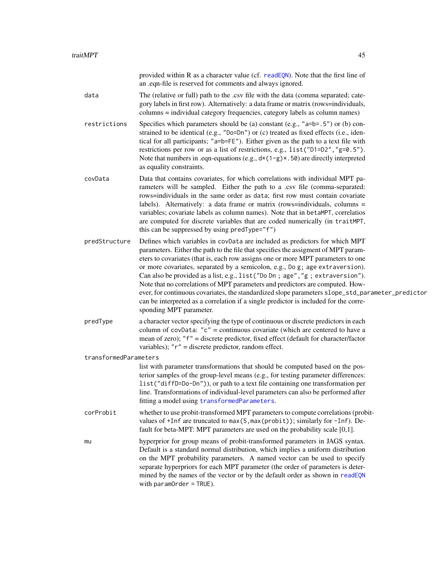<span id="page-44-0"></span>

|                       | provided within R as a character value (cf. readEQN). Note that the first line of<br>an .eqn-file is reserved for comments and always ignored.                                                                                                                                                                                                                                                                                                                                                                                                                                                                                                                                                                                 |
|-----------------------|--------------------------------------------------------------------------------------------------------------------------------------------------------------------------------------------------------------------------------------------------------------------------------------------------------------------------------------------------------------------------------------------------------------------------------------------------------------------------------------------------------------------------------------------------------------------------------------------------------------------------------------------------------------------------------------------------------------------------------|
| data                  | The (relative or full) path to the .csv file with the data (comma separated; cate-<br>gory labels in first row). Alternatively: a data frame or matrix (rows=individuals,<br>columns = individual category frequencies, category labels as column names)                                                                                                                                                                                                                                                                                                                                                                                                                                                                       |
| restrictions          | Specifies which parameters should be (a) constant (e.g., " $a=b=0.5$ ") or (b) con-<br>strained to be identical (e.g., "Do=Dn") or (c) treated as fixed effects (i.e., iden-<br>tical for all participants; "a=b=FE"). Either given as the path to a text file with<br>restrictions per row or as a list of restrictions, e.g., list ("D1=D2", "g=0.5").<br>Note that numbers in .eqn-equations (e.g., $d*(1-g)*(50)$ are directly interpreted<br>as equality constraints.                                                                                                                                                                                                                                                     |
| covData               | Data that contains covariates, for which correlations with individual MPT pa-<br>rameters will be sampled. Either the path to a .csv file (comma-separated:<br>rows=individuals in the same order as data; first row must contain covariate<br>labels). Alternatively: a data frame or matrix (rows=individuals, columns =<br>variables; covariate labels as column names). Note that in betaMPT, correlatios<br>are computed for discrete variables that are coded numerically (in traitMPT,<br>this can be suppressed by using predType="f")                                                                                                                                                                                 |
| predStructure         | Defines which variables in covData are included as predictors for which MPT<br>parameters. Either the path to the file that specifies the assigment of MPT param-<br>eters to covariates (that is, each row assigns one or more MPT parameters to one<br>or more covariates, separated by a semicolon, e.g., Do g; age extraversion).<br>Can also be provided as a list, e.g., list ("Do Dn; age", "g; extraversion").<br>Note that no correlations of MPT parameters and predictors are computed. How-<br>ever, for continuous covariates, the standardized slope parameters slope_std_parameter_predictor<br>can be interpreted as a correlation if a single predictor is included for the corre-<br>sponding MPT parameter. |
| predType              | a character vector specifying the type of continuous or discrete predictors in each<br>column of covData: " $c$ " = continuous covariate (which are centered to have a<br>mean of zero); "f" = discrete predictor, fixed effect (default for character/factor<br>variables); " $r$ " = discrete predictor, random effect.                                                                                                                                                                                                                                                                                                                                                                                                      |
| transformedParameters |                                                                                                                                                                                                                                                                                                                                                                                                                                                                                                                                                                                                                                                                                                                                |
|                       | list with parameter transformations that should be computed based on the pos-<br>terior samples of the group-level means (e.g., for testing parameter differences:<br>list("diffD=Do-Dn")), or path to a text file containing one transformation per<br>line. Transformations of individual-level parameters can also be performed after<br>fitting a model using transformedParameters.                                                                                                                                                                                                                                                                                                                                       |
| corProbit             | whether to use probit-transformed MPT parameters to compute correlations (probit-<br>values of +Inf are truncated to max(5, max(probit)); similarly for -Inf). De-<br>fault for beta-MPT: MPT parameters are used on the probability scale $[0,1]$ .                                                                                                                                                                                                                                                                                                                                                                                                                                                                           |
| mu                    | hyperprior for group means of probit-transformed parameters in JAGS syntax.<br>Default is a standard normal distribution, which implies a uniform distribution<br>on the MPT probability parameters. A named vector can be used to specify<br>separate hyperpriors for each MPT parameter (the order of parameters is deter-<br>mined by the names of the vector or by the default order as shown in readEQN<br>with $parameter = TRUE$ ).                                                                                                                                                                                                                                                                                     |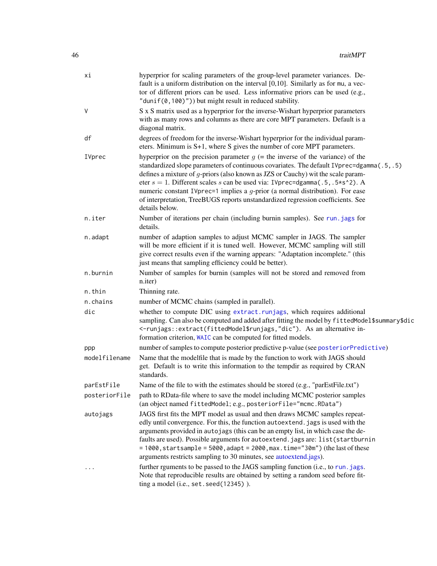<span id="page-45-0"></span>

| хi            | hyperprior for scaling parameters of the group-level parameter variances. De-<br>fault is a uniform distribution on the interval [0,10]. Similarly as for mu, a vec-<br>tor of different priors can be used. Less informative priors can be used (e.g.,<br>"dunif(0,100)")) but might result in reduced stability.                                                                                                                                                                                                                             |
|---------------|------------------------------------------------------------------------------------------------------------------------------------------------------------------------------------------------------------------------------------------------------------------------------------------------------------------------------------------------------------------------------------------------------------------------------------------------------------------------------------------------------------------------------------------------|
| V             | S x S matrix used as a hyperprior for the inverse-Wishart hyperprior parameters<br>with as many rows and columns as there are core MPT parameters. Default is a<br>diagonal matrix.                                                                                                                                                                                                                                                                                                                                                            |
| df            | degrees of freedom for the inverse-Wishart hyperprior for the individual param-<br>eters. Minimum is S+1, where S gives the number of core MPT parameters.                                                                                                                                                                                                                                                                                                                                                                                     |
| IVprec        | hyperprior on the precision parameter $g$ (= the inverse of the variance) of the<br>standardized slope parameters of continuous covariates. The default IVprec=dgamma(.5,.5)<br>defines a mixture of $g$ -priors (also known as JZS or Cauchy) wit the scale param-<br>eter $s = 1$ . Different scales s can be used via: IVprec=dgamma(.5,.5*s^2). A<br>numeric constant IVprec=1 implies a $g$ -prior (a normal distribution). For ease<br>of interpretation, TreeBUGS reports unstandardized regression coefficients. See<br>details below. |
| n.iter        | Number of iterations per chain (including burnin samples). See run. jags for<br>details.                                                                                                                                                                                                                                                                                                                                                                                                                                                       |
| n.adapt       | number of adaption samples to adjust MCMC sampler in JAGS. The sampler<br>will be more efficient if it is tuned well. However, MCMC sampling will still<br>give correct results even if the warning appears: "Adaptation incomplete." (this<br>just means that sampling efficiency could be better).                                                                                                                                                                                                                                           |
| n.burnin      | Number of samples for burnin (samples will not be stored and removed from<br>n.iter)                                                                                                                                                                                                                                                                                                                                                                                                                                                           |
| n.thin        | Thinning rate.                                                                                                                                                                                                                                                                                                                                                                                                                                                                                                                                 |
| n.chains      | number of MCMC chains (sampled in parallel).                                                                                                                                                                                                                                                                                                                                                                                                                                                                                                   |
| dic           | whether to compute DIC using extract.runjags, which requires additional<br>sampling. Can also be computed and added after fitting the model by fittedModel\$summary\$dic<br><- runjags:: extract(fittedModel\$runjags,"dic"). As an alternative in-<br>formation criterion, WAIC can be computed for fitted models.                                                                                                                                                                                                                            |
| ppp           | number of samples to compute posterior predictive p-value (see posteriorPredictive)                                                                                                                                                                                                                                                                                                                                                                                                                                                            |
| modelfilename | Name that the modelfile that is made by the function to work with JAGS should<br>get. Default is to write this information to the tempdir as required by CRAN<br>standards.                                                                                                                                                                                                                                                                                                                                                                    |
| parEstFile    | Name of the file to with the estimates should be stored (e.g., "parEstFile.txt")                                                                                                                                                                                                                                                                                                                                                                                                                                                               |
| posteriorFile | path to RData-file where to save the model including MCMC posterior samples<br>(an object named fittedModel; e.g., posteriorFile="mcmc.RData")                                                                                                                                                                                                                                                                                                                                                                                                 |
| autojags      | JAGS first fits the MPT model as usual and then draws MCMC samples repeat-<br>edly until convergence. For this, the function autoextend. jags is used with the<br>arguments provided in autojags (this can be an empty list, in which case the de-<br>faults are used). Possible arguments for autoextend. jags are: list(startburnin<br>$= 1000$ , startsample = 5000, adapt = 2000, max.time="30m") (the last of these<br>arguments restricts sampling to 30 minutes, see autoextend.jags).                                                  |
|               | further rguments to be passed to the JAGS sampling function (i.e., to run. jags.<br>Note that reproducible results are obtained by setting a random seed before fit-<br>ting a model (i.e., set. seed(12345)).                                                                                                                                                                                                                                                                                                                                 |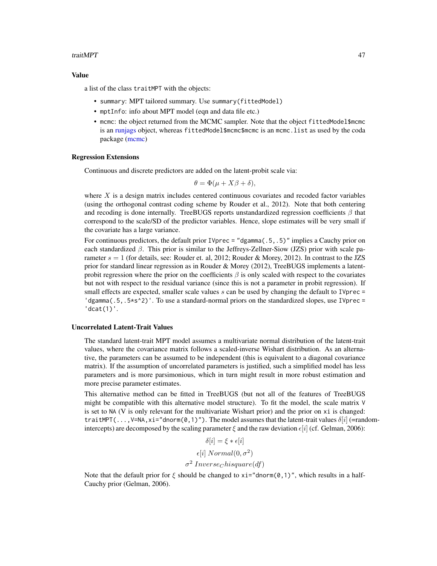#### <span id="page-46-0"></span>traitMPT 47

#### Value

a list of the class traitMPT with the objects:

- summary: MPT tailored summary. Use summary(fittedModel)
- mptInfo: info about MPT model (eqn and data file etc.)
- mcmc: the object returned from the MCMC sampler. Note that the object fittedModel\$mcmc is an [runjags](#page-0-0) object, whereas fittedModel\$mcmc\$mcmc is an mcmc.list as used by the coda package [\(mcmc\)](#page-0-0)

#### Regression Extensions

Continuous and discrete predictors are added on the latent-probit scale via:

$$
\theta = \Phi(\mu + X\beta + \delta),
$$

where  $X$  is a design matrix includes centered continuous covariates and recoded factor variables (using the orthogonal contrast coding scheme by Rouder et al., 2012). Note that both centering and recoding is done internally. TreeBUGS reports unstandardized regression coefficients  $\beta$  that correspond to the scale/SD of the predictor variables. Hence, slope estimates will be very small if the covariate has a large variance.

For continuous predictors, the default prior IVprec = "dgamma(.5,.5)" implies a Cauchy prior on each standardized  $\beta$ . This prior is similar to the Jeffreys-Zellner-Siow (JZS) prior with scale parameter  $s = 1$  (for details, see: Rouder et. al, 2012; Rouder & Morey, 2012). In contrast to the JZS prior for standard linear regression as in Rouder  $\&$  Morey (2012), TreeBUGS implements a latentprobit regression where the prior on the coefficients  $\beta$  is only scaled with respect to the covariates but not with respect to the residual variance (since this is not a parameter in probit regression). If small effects are expected, smaller scale values  $s$  can be used by changing the default to IVprec  $=$  $\log_{10}$  (.5,.5\*s^2)'. To use a standard-normal priors on the standardized slopes, use IVprec = 'dcat(1)'.

#### Uncorrelated Latent-Trait Values

The standard latent-trait MPT model assumes a multivariate normal distribution of the latent-trait values, where the covariance matrix follows a scaled-inverse Wishart distribution. As an alternative, the parameters can be assumed to be independent (this is equivalent to a diagonal covariance matrix). If the assumption of uncorrelated parameters is justified, such a simplified model has less parameters and is more parsimonious, which in turn might result in more robust estimation and more precise parameter estimates.

This alternative method can be fitted in TreeBUGS (but not all of the features of TreeBUGS might be compatible with this alternative model structure). To fit the model, the scale matrix V is set to NA (V is only relevant for the multivariate Wishart prior) and the prior on xi is changed: traitMPT(..., V=NA, xi="dnorm(0,1)"). The model assumes that the latent-trait values  $\delta[i]$  (=randomintercepts) are decomposed by the scaling parameter  $\xi$  and the raw deviation  $\varepsilon[i]$  (cf. Gelman, 2006):

$$
\delta[i] = \xi * \epsilon[i]
$$

$$
\epsilon[i] Normal(0, \sigma^2)
$$

$$
\sigma^2 Inverse_{\text{C}} bisquare(df)
$$

Note that the default prior for  $\xi$  should be changed to xi="dnorm(0,1)", which results in a half-Cauchy prior (Gelman, 2006).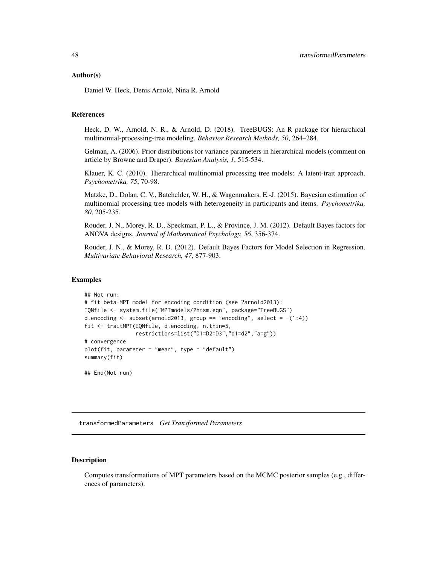#### <span id="page-47-0"></span>Author(s)

Daniel W. Heck, Denis Arnold, Nina R. Arnold

#### References

Heck, D. W., Arnold, N. R., & Arnold, D. (2018). TreeBUGS: An R package for hierarchical multinomial-processing-tree modeling. *Behavior Research Methods, 50*, 264–284.

Gelman, A. (2006). Prior distributions for variance parameters in hierarchical models (comment on article by Browne and Draper). *Bayesian Analysis, 1*, 515-534.

Klauer, K. C. (2010). Hierarchical multinomial processing tree models: A latent-trait approach. *Psychometrika, 75*, 70-98.

Matzke, D., Dolan, C. V., Batchelder, W. H., & Wagenmakers, E.-J. (2015). Bayesian estimation of multinomial processing tree models with heterogeneity in participants and items. *Psychometrika, 80*, 205-235.

Rouder, J. N., Morey, R. D., Speckman, P. L., & Province, J. M. (2012). Default Bayes factors for ANOVA designs. *Journal of Mathematical Psychology, 56*, 356-374.

Rouder, J. N., & Morey, R. D. (2012). Default Bayes Factors for Model Selection in Regression. *Multivariate Behavioral Research, 47*, 877-903.

#### Examples

```
## Not run:
# fit beta-MPT model for encoding condition (see ?arnold2013):
EQNfile <- system.file("MPTmodels/2htsm.eqn", package="TreeBUGS")
d.encoding \le subset(arnold2013, group == "encoding", select = -(1:4))
fit <- traitMPT(EQNfile, d.encoding, n.thin=5,
                restrictions=list("D1=D2=D3","d1=d2","a=g"))
# convergence
plot(fit, parameter = "mean", type = "default")
summary(fit)
```
## End(Not run)

<span id="page-47-1"></span>transformedParameters *Get Transformed Parameters*

#### Description

Computes transformations of MPT parameters based on the MCMC posterior samples (e.g., differences of parameters).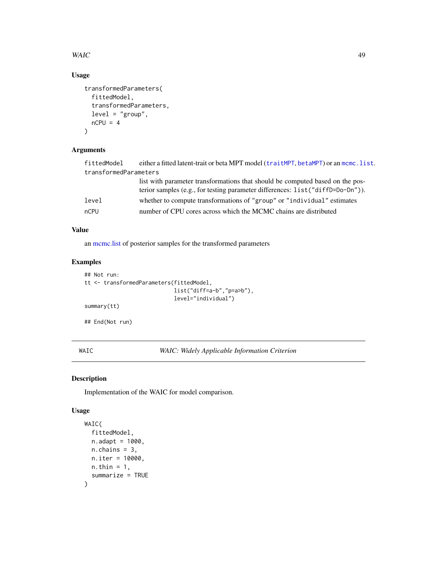#### <span id="page-48-0"></span> $W\!AIC$  and  $49$

#### Usage

```
transformedParameters(
  fittedModel,
  transformedParameters,
  level = "group",
  nCPU = 4\mathcal{L}
```
#### Arguments

| fittedModel           | either a fitted latent-trait or beta MPT model (traitMPT, betaMPT) or an mcmc.list.                                                                             |
|-----------------------|-----------------------------------------------------------------------------------------------------------------------------------------------------------------|
| transformedParameters |                                                                                                                                                                 |
|                       | list with parameter transformations that should be computed based on the pos-<br>terior samples (e.g., for testing parameter differences: list("diffD=Do-Dn")). |
| level                 | whether to compute transformations of "group" or "individual" estimates                                                                                         |
| nCPU                  | number of CPU cores across which the MCMC chains are distributed                                                                                                |

#### Value

an [mcmc.list](#page-0-0) of posterior samples for the transformed parameters

#### Examples

```
## Not run:
tt <- transformedParameters(fittedModel,
                            list("diff=a-b","p=a>b"),
                            level="individual")
summary(tt)
```
## End(Not run)

<span id="page-48-1"></span>WAIC *WAIC: Widely Applicable Information Criterion*

#### Description

Implementation of the WAIC for model comparison.

#### Usage

```
WAIC(
  fittedModel,
  n.addapt = 1000,
  n.chains = 3,
  n.iter = 10000,
  n.thin = 1,
  summarize = TRUE
\mathcal{E}
```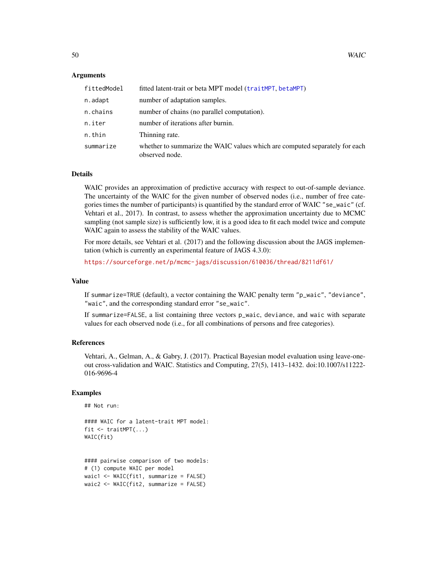#### Arguments

| fittedModel | fitted latent-trait or beta MPT model (traitMPT, betaMPT)                                     |
|-------------|-----------------------------------------------------------------------------------------------|
| n.adapt     | number of adaptation samples.                                                                 |
| n.chains    | number of chains (no parallel computation).                                                   |
| n.iter      | number of iterations after burnin.                                                            |
| n.thin      | Thinning rate.                                                                                |
| summarize   | whether to summarize the WAIC values which are computed separately for each<br>observed node. |

#### Details

WAIC provides an approximation of predictive accuracy with respect to out-of-sample deviance. The uncertainty of the WAIC for the given number of observed nodes (i.e., number of free categories times the number of participants) is quantified by the standard error of WAIC "se\_waic" (cf. Vehtari et al., 2017). In contrast, to assess whether the approximation uncertainty due to MCMC sampling (not sample size) is sufficiently low, it is a good idea to fit each model twice and compute WAIC again to assess the stability of the WAIC values.

For more details, see Vehtari et al. (2017) and the following discussion about the JAGS implementation (which is currently an experimental feature of JAGS 4.3.0):

<https://sourceforge.net/p/mcmc-jags/discussion/610036/thread/8211df61/>

#### Value

If summarize=TRUE (default), a vector containing the WAIC penalty term "p\_waic", "deviance", "waic", and the corresponding standard error "se\_waic".

If summarize=FALSE, a list containing three vectors p\_waic, deviance, and waic with separate values for each observed node (i.e., for all combinations of persons and free categories).

#### References

Vehtari, A., Gelman, A., & Gabry, J. (2017). Practical Bayesian model evaluation using leave-oneout cross-validation and WAIC. Statistics and Computing, 27(5), 1413–1432. doi:10.1007/s11222- 016-9696-4

#### Examples

```
## Not run:
```

```
#### WAIC for a latent-trait MPT model:
fit <- traitMPT(...)
WAIC(fit)
```
#### pairwise comparison of two models: # (1) compute WAIC per model waic1 <- WAIC(fit1, summarize = FALSE) waic2 <- WAIC(fit2, summarize = FALSE)

<span id="page-49-0"></span>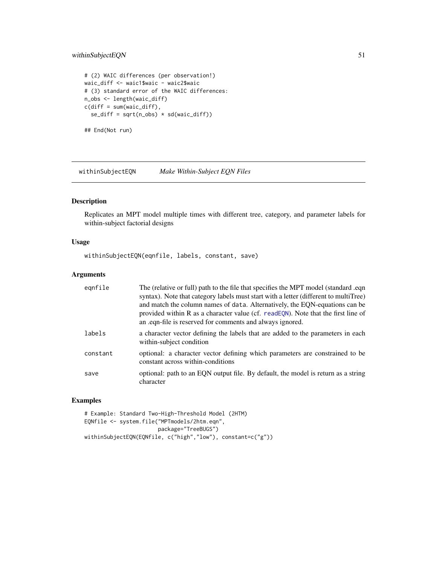#### <span id="page-50-0"></span>withinSubjectEQN 51

```
# (2) WAIC differences (per observation!)
waic_diff <- waic1$waic - waic2$waic
# (3) standard error of the WAIC differences:
n_obs <- length(waic_diff)
c(diff = sum(waic_diff),
 se\_diff = sqrt(n\_obs) * sd(waic\_diff)
```
## End(Not run)

withinSubjectEQN *Make Within-Subject EQN Files*

#### Description

Replicates an MPT model multiple times with different tree, category, and parameter labels for within-subject factorial designs

#### Usage

withinSubjectEQN(eqnfile, labels, constant, save)

#### Arguments

| egnfile  | The (relative or full) path to the file that specifies the MPT model (standard .eqn<br>syntax). Note that category labels must start with a letter (different to multiTree)<br>and match the column names of data. Alternatively, the EQN-equations can be<br>provided within R as a character value (cf. readEQN). Note that the first line of<br>an eqn-file is reserved for comments and always ignored. |
|----------|-------------------------------------------------------------------------------------------------------------------------------------------------------------------------------------------------------------------------------------------------------------------------------------------------------------------------------------------------------------------------------------------------------------|
| labels   | a character vector defining the labels that are added to the parameters in each<br>within-subject condition                                                                                                                                                                                                                                                                                                 |
| constant | optional: a character vector defining which parameters are constrained to be<br>constant across within-conditions                                                                                                                                                                                                                                                                                           |
| save     | optional: path to an EQN output file. By default, the model is return as a string<br>character                                                                                                                                                                                                                                                                                                              |

```
# Example: Standard Two-High-Threshold Model (2HTM)
EQNfile <- system.file("MPTmodels/2htm.eqn",
                       package="TreeBUGS")
withinSubjectEQN(EQNfile, c("high","low"), constant=c("g"))
```